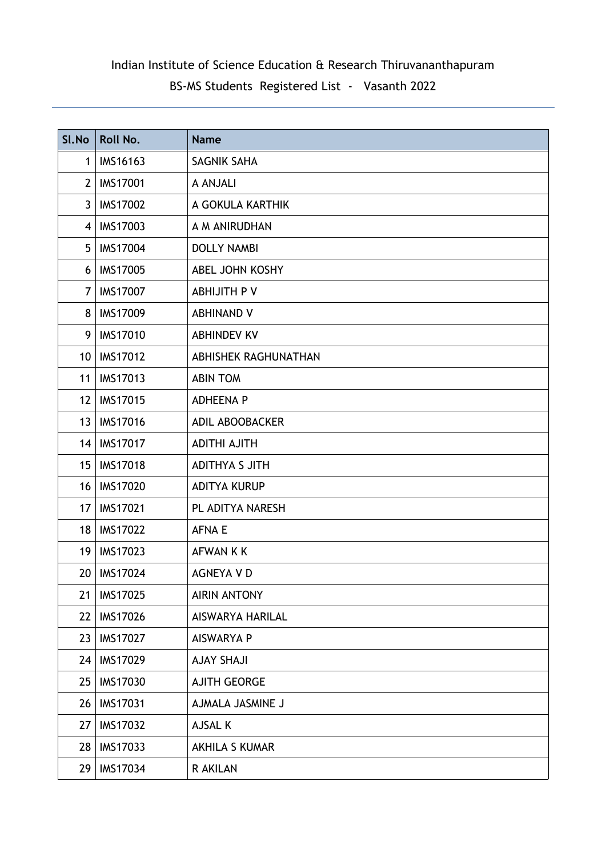| SI.No           | Roll No.        | <b>Name</b>             |
|-----------------|-----------------|-------------------------|
| $\mathbf 1$     | IMS16163        | <b>SAGNIK SAHA</b>      |
| $2^{\circ}$     | <b>IMS17001</b> | A ANJALI                |
| $\mathbf{3}$    | <b>IMS17002</b> | A GOKULA KARTHIK        |
| $\overline{4}$  | <b>IMS17003</b> | A M ANIRUDHAN           |
| 5 <sup>5</sup>  | <b>IMS17004</b> | <b>DOLLY NAMBI</b>      |
| 6               | <b>IMS17005</b> | ABEL JOHN KOSHY         |
| $\overline{7}$  | <b>IMS17007</b> | ABHIJITH P V            |
| 8               | <b>IMS17009</b> | <b>ABHINAND V</b>       |
| 9               | <b>IMS17010</b> | <b>ABHINDEV KV</b>      |
| 10 <sup>1</sup> | <b>IMS17012</b> | ABHISHEK RAGHUNATHAN    |
| 11              | <b>IMS17013</b> | <b>ABIN TOM</b>         |
| 12 <sup>2</sup> | <b>IMS17015</b> | <b>ADHEENA P</b>        |
| 13              | <b>IMS17016</b> | ADIL ABOOBACKER         |
| 14              | <b>IMS17017</b> | <b>ADITHI AJITH</b>     |
| 15 <sup>1</sup> | <b>IMS17018</b> | <b>ADITHYA S JITH</b>   |
| 16              | <b>IMS17020</b> | <b>ADITYA KURUP</b>     |
| 17              | <b>IMS17021</b> | PL ADITYA NARESH        |
| 18 <sup>°</sup> | <b>IMS17022</b> | <b>AFNA E</b>           |
| 19 <sup>°</sup> | <b>IMS17023</b> | <b>AFWAN K K</b>        |
| 20              | <b>IMS17024</b> | <b>AGNEYA V D</b>       |
| 21              | <b>IMS17025</b> | <b>AIRIN ANTONY</b>     |
| 22              | IMS17026        | <b>AISWARYA HARILAL</b> |
| 23              | <b>IMS17027</b> | <b>AISWARYA P</b>       |
| 24              | IMS17029        | <b>AJAY SHAJI</b>       |
| 25              | <b>IMS17030</b> | <b>AJITH GEORGE</b>     |
| 26              | <b>IMS17031</b> | AJMALA JASMINE J        |
| 27              | <b>IMS17032</b> | AJSAL K                 |
| 28              | IMS17033        | <b>AKHILA S KUMAR</b>   |
| 29              | IMS17034        | R AKILAN                |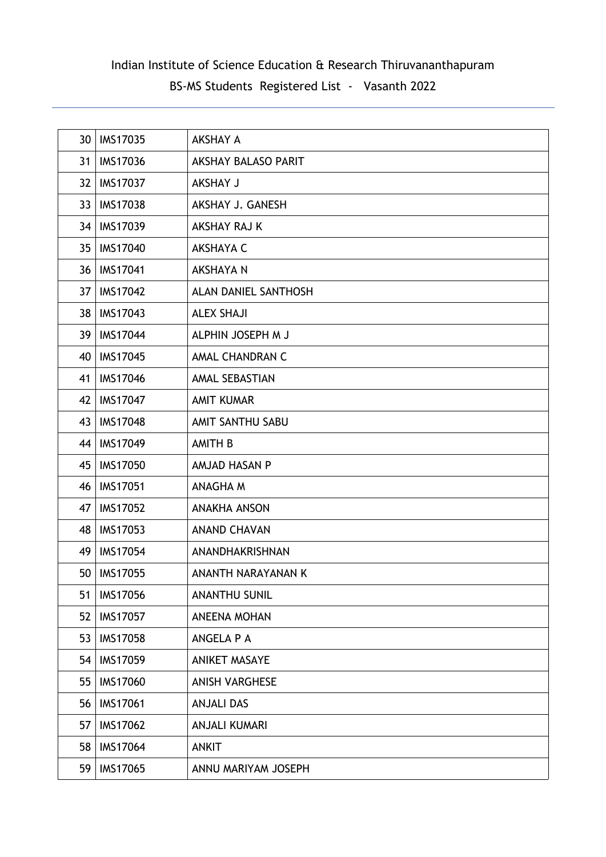| 30 <sup>°</sup> | <b>IMS17035</b> | <b>AKSHAY A</b>            |
|-----------------|-----------------|----------------------------|
| 31              | <b>IMS17036</b> | <b>AKSHAY BALASO PARIT</b> |
| 32 <sub>2</sub> | <b>IMS17037</b> | <b>AKSHAY J</b>            |
| 33 <sup>2</sup> | <b>IMS17038</b> | AKSHAY J. GANESH           |
| 34              | <b>IMS17039</b> | AKSHAY RAJ K               |
| 35 <sup>5</sup> | <b>IMS17040</b> | <b>AKSHAYA C</b>           |
| 36 <sup>°</sup> | <b>IMS17041</b> | <b>AKSHAYA N</b>           |
| 37              | <b>IMS17042</b> | ALAN DANIEL SANTHOSH       |
| 38              | <b>IMS17043</b> | <b>ALEX SHAJI</b>          |
| 39              | <b>IMS17044</b> | ALPHIN JOSEPH M J          |
| 40              | <b>IMS17045</b> | AMAL CHANDRAN C            |
| 41              | <b>IMS17046</b> | AMAL SEBASTIAN             |
| 42              | <b>IMS17047</b> | <b>AMIT KUMAR</b>          |
| 43              | <b>IMS17048</b> | AMIT SANTHU SABU           |
| 44              | <b>IMS17049</b> | <b>AMITH B</b>             |
| 45              | <b>IMS17050</b> | AMJAD HASAN P              |
| 46              | <b>IMS17051</b> | ANAGHA M                   |
| 47              | <b>IMS17052</b> | <b>ANAKHA ANSON</b>        |
| 48              | <b>IMS17053</b> | <b>ANAND CHAVAN</b>        |
| 49              | <b>IMS17054</b> | ANANDHAKRISHNAN            |
| 50 <sup>°</sup> | <b>IMS17055</b> | ANANTH NARAYANAN K         |
| 51              | <b>IMS17056</b> | <b>ANANTHU SUNIL</b>       |
| 52              | <b>IMS17057</b> | <b>ANEENA MOHAN</b>        |
| 53              | <b>IMS17058</b> | ANGELA P A                 |
| 54              | IMS17059        | <b>ANIKET MASAYE</b>       |
| 55              | <b>IMS17060</b> | <b>ANISH VARGHESE</b>      |
| 56              | <b>IMS17061</b> | <b>ANJALI DAS</b>          |
| 57              | <b>IMS17062</b> | <b>ANJALI KUMARI</b>       |
| 58              | <b>IMS17064</b> | <b>ANKIT</b>               |
| 59              | IMS17065        | ANNU MARIYAM JOSEPH        |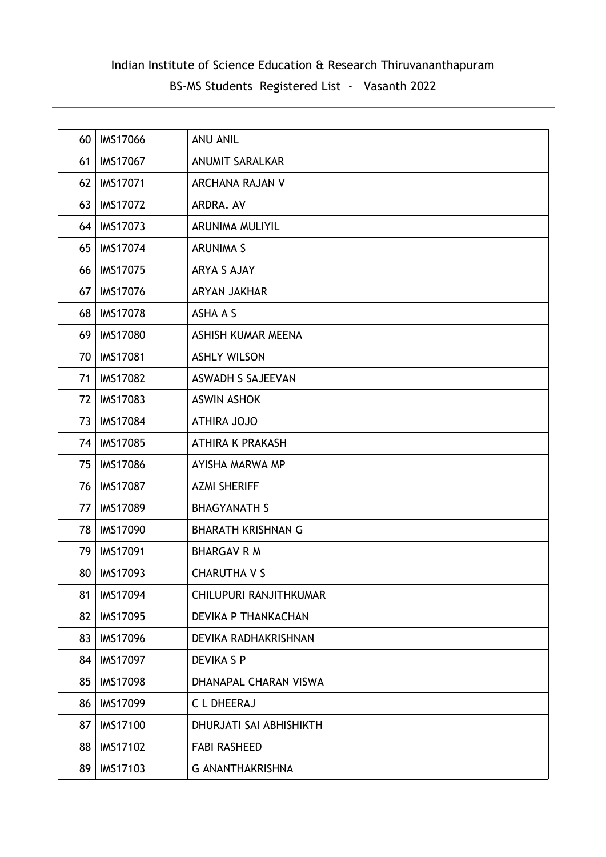| 60 | <b>IMS17066</b> | <b>ANU ANIL</b>           |
|----|-----------------|---------------------------|
| 61 | <b>IMS17067</b> | <b>ANUMIT SARALKAR</b>    |
| 62 | <b>IMS17071</b> | ARCHANA RAJAN V           |
| 63 | <b>IMS17072</b> | ARDRA. AV                 |
| 64 | <b>IMS17073</b> | <b>ARUNIMA MULIYIL</b>    |
| 65 | <b>IMS17074</b> | <b>ARUNIMA S</b>          |
| 66 | <b>IMS17075</b> | ARYA S AJAY               |
| 67 | <b>IMS17076</b> | <b>ARYAN JAKHAR</b>       |
| 68 | <b>IMS17078</b> | ASHA A S                  |
| 69 | <b>IMS17080</b> | ASHISH KUMAR MEENA        |
| 70 | <b>IMS17081</b> | <b>ASHLY WILSON</b>       |
| 71 | <b>IMS17082</b> | <b>ASWADH S SAJEEVAN</b>  |
| 72 | <b>IMS17083</b> | <b>ASWIN ASHOK</b>        |
| 73 | <b>IMS17084</b> | <b>ATHIRA JOJO</b>        |
| 74 | <b>IMS17085</b> | <b>ATHIRA K PRAKASH</b>   |
| 75 | <b>IMS17086</b> | AYISHA MARWA MP           |
| 76 | <b>IMS17087</b> | <b>AZMI SHERIFF</b>       |
| 77 | <b>IMS17089</b> | <b>BHAGYANATH S</b>       |
| 78 | <b>IMS17090</b> | <b>BHARATH KRISHNAN G</b> |
| 79 | <b>IMS17091</b> | <b>BHARGAV R M</b>        |
| 80 | <b>IMS17093</b> | <b>CHARUTHA V S</b>       |
| 81 | IMS17094        | CHILUPURI RANJITHKUMAR    |
| 82 | <b>IMS17095</b> | DEVIKA P THANKACHAN       |
| 83 | <b>IMS17096</b> | DEVIKA RADHAKRISHNAN      |
| 84 | <b>IMS17097</b> | <b>DEVIKA S P</b>         |
| 85 | <b>IMS17098</b> | DHANAPAL CHARAN VISWA     |
| 86 | <b>IMS17099</b> | <b>CLDHEERAJ</b>          |
| 87 | <b>IMS17100</b> | DHURJATI SAI ABHISHIKTH   |
| 88 | <b>IMS17102</b> | <b>FABI RASHEED</b>       |
| 89 | IMS17103        | <b>G ANANTHAKRISHNA</b>   |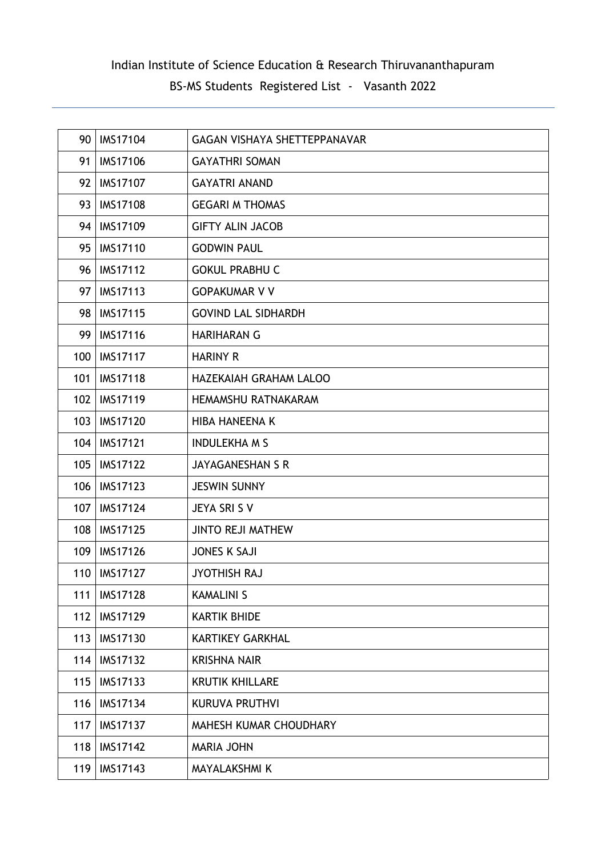| 90  | <b>IMS17104</b> | <b>GAGAN VISHAYA SHETTEPPANAVAR</b> |
|-----|-----------------|-------------------------------------|
| 91  | <b>IMS17106</b> | <b>GAYATHRI SOMAN</b>               |
| 92  | <b>IMS17107</b> | <b>GAYATRI ANAND</b>                |
| 93  | <b>IMS17108</b> | <b>GEGARI M THOMAS</b>              |
| 94  | IMS17109        | <b>GIFTY ALIN JACOB</b>             |
| 95  | <b>IMS17110</b> | <b>GODWIN PAUL</b>                  |
| 96  | <b>IMS17112</b> | <b>GOKUL PRABHU C</b>               |
| 97  | <b>IMS17113</b> | <b>GOPAKUMAR V V</b>                |
| 98  | <b>IMS17115</b> | <b>GOVIND LAL SIDHARDH</b>          |
| 99  | <b>IMS17116</b> | <b>HARIHARAN G</b>                  |
| 100 | <b>IMS17117</b> | <b>HARINY R</b>                     |
| 101 | <b>IMS17118</b> | <b>HAZEKAIAH GRAHAM LALOO</b>       |
| 102 | <b>IMS17119</b> | <b>HEMAMSHU RATNAKARAM</b>          |
| 103 | <b>IMS17120</b> | <b>HIBA HANEENA K</b>               |
| 104 | <b>IMS17121</b> | <b>INDULEKHA M S</b>                |
| 105 | <b>IMS17122</b> | <b>JAYAGANESHAN S R</b>             |
| 106 | <b>IMS17123</b> | <b>JESWIN SUNNY</b>                 |
| 107 | <b>IMS17124</b> | JEYA SRI S V                        |
| 108 | <b>IMS17125</b> | <b>JINTO REJI MATHEW</b>            |
| 109 | <b>IMS17126</b> | <b>JONES K SAJI</b>                 |
| 110 | <b>IMS17127</b> | <b>JYOTHISH RAJ</b>                 |
| 111 | <b>IMS17128</b> | <b>KAMALINI S</b>                   |
| 112 | <b>IMS17129</b> | <b>KARTIK BHIDE</b>                 |
| 113 | <b>IMS17130</b> | <b>KARTIKEY GARKHAL</b>             |
| 114 | <b>IMS17132</b> | <b>KRISHNA NAIR</b>                 |
| 115 | IMS17133        | <b>KRUTIK KHILLARE</b>              |
| 116 | <b>IMS17134</b> | <b>KURUVA PRUTHVI</b>               |
| 117 | <b>IMS17137</b> | MAHESH KUMAR CHOUDHARY              |
| 118 | <b>IMS17142</b> | <b>MARIA JOHN</b>                   |
| 119 | IMS17143        | <b>MAYALAKSHMI K</b>                |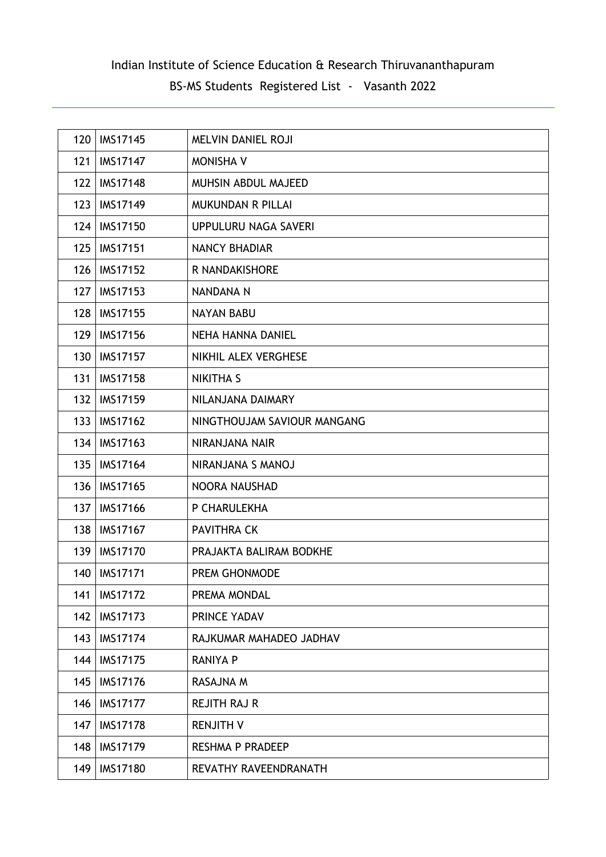| 120 | <b>IMS17145</b> | <b>MELVIN DANIEL ROJI</b>   |
|-----|-----------------|-----------------------------|
| 121 | <b>IMS17147</b> | <b>MONISHA V</b>            |
| 122 | <b>IMS17148</b> | MUHSIN ABDUL MAJEED         |
| 123 | <b>IMS17149</b> | <b>MUKUNDAN R PILLAI</b>    |
| 124 | <b>IMS17150</b> | UPPULURU NAGA SAVERI        |
| 125 | <b>IMS17151</b> | <b>NANCY BHADIAR</b>        |
| 126 | <b>IMS17152</b> | R NANDAKISHORE              |
| 127 | <b>IMS17153</b> | NANDANA N                   |
| 128 | <b>IMS17155</b> | <b>NAYAN BABU</b>           |
| 129 | IMS17156        | <b>NEHA HANNA DANIEL</b>    |
| 130 | <b>IMS17157</b> | NIKHIL ALEX VERGHESE        |
| 131 | <b>IMS17158</b> | <b>NIKITHA S</b>            |
| 132 | <b>IMS17159</b> | NILANJANA DAIMARY           |
| 133 | <b>IMS17162</b> | NINGTHOUJAM SAVIOUR MANGANG |
| 134 | <b>IMS17163</b> | NIRANJANA NAIR              |
| 135 | <b>IMS17164</b> | NIRANJANA S MANOJ           |
| 136 | <b>IMS17165</b> | <b>NOORA NAUSHAD</b>        |
| 137 | <b>IMS17166</b> | P CHARULEKHA                |
| 138 | <b>IMS17167</b> | <b>PAVITHRA CK</b>          |
| 139 | <b>IMS17170</b> | PRAJAKTA BALIRAM BODKHE     |
| 140 | <b>IMS17171</b> | PREM GHONMODE               |
| 141 | <b>IMS17172</b> | PREMA MONDAL                |
| 142 | <b>IMS17173</b> | PRINCE YADAV                |
| 143 | <b>IMS17174</b> | RAJKUMAR MAHADEO JADHAV     |
| 144 | <b>IMS17175</b> | <b>RANIYA P</b>             |
| 145 | <b>IMS17176</b> | RASAJNA M                   |
| 146 | <b>IMS17177</b> | <b>REJITH RAJ R</b>         |
| 147 | <b>IMS17178</b> | <b>RENJITH V</b>            |
| 148 | <b>IMS17179</b> | RESHMA P PRADEEP            |
| 149 | <b>IMS17180</b> | REVATHY RAVEENDRANATH       |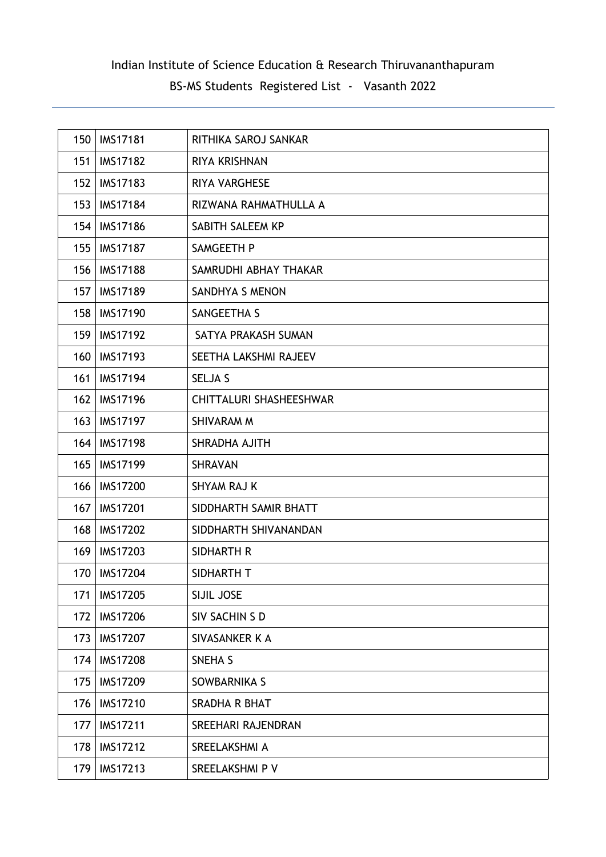| 150 | <b>IMS17181</b> | RITHIKA SAROJ SANKAR           |
|-----|-----------------|--------------------------------|
| 151 | <b>IMS17182</b> | RIYA KRISHNAN                  |
| 152 | <b>IMS17183</b> | RIYA VARGHESE                  |
| 153 | <b>IMS17184</b> | RIZWANA RAHMATHULLA A          |
| 154 | <b>IMS17186</b> | SABITH SALEEM KP               |
| 155 | <b>IMS17187</b> | SAMGEETH P                     |
| 156 | <b>IMS17188</b> | SAMRUDHI ABHAY THAKAR          |
| 157 | <b>IMS17189</b> | SANDHYA S MENON                |
| 158 | <b>IMS17190</b> | SANGEETHA S                    |
| 159 | <b>IMS17192</b> | SATYA PRAKASH SUMAN            |
| 160 | <b>IMS17193</b> | SEETHA LAKSHMI RAJEEV          |
| 161 | <b>IMS17194</b> | <b>SELJA S</b>                 |
| 162 | <b>IMS17196</b> | <b>CHITTALURI SHASHEESHWAR</b> |
| 163 | <b>IMS17197</b> | SHIVARAM M                     |
| 164 | <b>IMS17198</b> | SHRADHA AJITH                  |
| 165 | <b>IMS17199</b> | <b>SHRAVAN</b>                 |
| 166 | <b>IMS17200</b> | SHYAM RAJ K                    |
| 167 | <b>IMS17201</b> | SIDDHARTH SAMIR BHATT          |
| 168 | <b>IMS17202</b> | SIDDHARTH SHIVANANDAN          |
| 169 | <b>IMS17203</b> | SIDHARTH R                     |
| 170 | <b>IMS17204</b> | SIDHARTH T                     |
| 171 | <b>IMS17205</b> | SIJIL JOSE                     |
| 172 | <b>IMS17206</b> | SIV SACHIN S D                 |
| 173 | <b>IMS17207</b> | SIVASANKER K A                 |
| 174 | <b>IMS17208</b> | SNEHA <sub>S</sub>             |
| 175 | <b>IMS17209</b> | SOWBARNIKA S                   |
| 176 | <b>IMS17210</b> | SRADHA R BHAT                  |
| 177 | <b>IMS17211</b> | SREEHARI RAJENDRAN             |
| 178 | <b>IMS17212</b> | SREELAKSHMI A                  |
| 179 | IMS17213        | SREELAKSHMI P V                |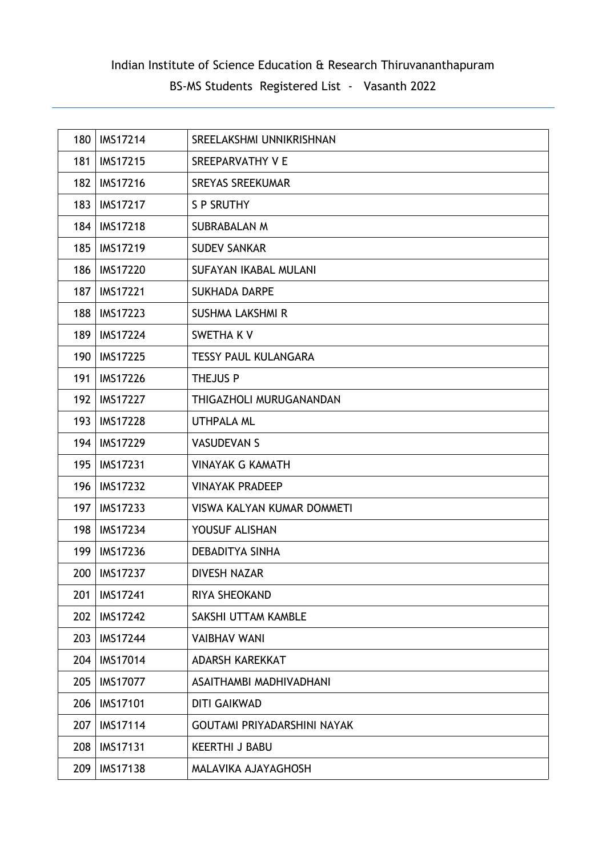| 180 | <b>IMS17214</b> | SREELAKSHMI UNNIKRISHNAN          |
|-----|-----------------|-----------------------------------|
| 181 | <b>IMS17215</b> | SREEPARVATHY V E                  |
| 182 | <b>IMS17216</b> | <b>SREYAS SREEKUMAR</b>           |
| 183 | <b>IMS17217</b> | <b>S P SRUTHY</b>                 |
| 184 | <b>IMS17218</b> | <b>SUBRABALAN M</b>               |
| 185 | <b>IMS17219</b> | <b>SUDEV SANKAR</b>               |
| 186 | <b>IMS17220</b> | <b>SUFAYAN IKABAL MULANI</b>      |
| 187 | <b>IMS17221</b> | <b>SUKHADA DARPE</b>              |
| 188 | <b>IMS17223</b> | <b>SUSHMA LAKSHMI R</b>           |
| 189 | <b>IMS17224</b> | SWETHA K V                        |
| 190 | <b>IMS17225</b> | <b>TESSY PAUL KULANGARA</b>       |
| 191 | <b>IMS17226</b> | THEJUS P                          |
| 192 | <b>IMS17227</b> | THIGAZHOLI MURUGANANDAN           |
| 193 | <b>IMS17228</b> | <b>UTHPALA ML</b>                 |
| 194 | <b>IMS17229</b> | <b>VASUDEVAN S</b>                |
| 195 | <b>IMS17231</b> | <b>VINAYAK G KAMATH</b>           |
| 196 | <b>IMS17232</b> | <b>VINAYAK PRADEEP</b>            |
| 197 | <b>IMS17233</b> | <b>VISWA KALYAN KUMAR DOMMETI</b> |
| 198 | <b>IMS17234</b> | YOUSUF ALISHAN                    |
| 199 | <b>IMS17236</b> | <b>DEBADITYA SINHA</b>            |
| 200 | <b>IMS17237</b> | <b>DIVESH NAZAR</b>               |
| 201 | <b>IMS17241</b> | RIYA SHEOKAND                     |
| 202 | <b>IMS17242</b> | SAKSHI UTTAM KAMBLE               |
| 203 | <b>IMS17244</b> | <b>VAIBHAV WANI</b>               |
| 204 | <b>IMS17014</b> | <b>ADARSH KAREKKAT</b>            |
| 205 | <b>IMS17077</b> | ASAITHAMBI MADHIVADHANI           |
| 206 | <b>IMS17101</b> | <b>DITI GAIKWAD</b>               |
| 207 | <b>IMS17114</b> | GOUTAMI PRIYADARSHINI NAYAK       |
| 208 | <b>IMS17131</b> | <b>KEERTHI J BABU</b>             |
| 209 | <b>IMS17138</b> | MALAVIKA AJAYAGHOSH               |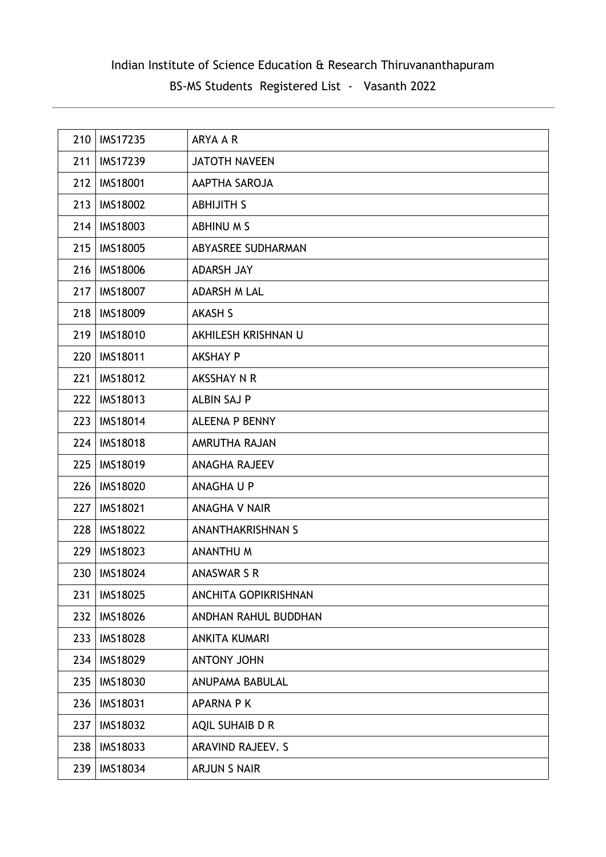| 210 | <b>IMS17235</b> | ARYA A R                    |
|-----|-----------------|-----------------------------|
| 211 | <b>IMS17239</b> | <b>JATOTH NAVEEN</b>        |
| 212 | <b>IMS18001</b> | AAPTHA SAROJA               |
| 213 | <b>IMS18002</b> | <b>ABHIJITH S</b>           |
| 214 | <b>IMS18003</b> | ABHINU M S                  |
| 215 | <b>IMS18005</b> | ABYASREE SUDHARMAN          |
| 216 | <b>IMS18006</b> | <b>ADARSH JAY</b>           |
| 217 | <b>IMS18007</b> | <b>ADARSH M LAL</b>         |
| 218 | <b>IMS18009</b> | <b>AKASH S</b>              |
| 219 | <b>IMS18010</b> | AKHILESH KRISHNAN U         |
| 220 | <b>IMS18011</b> | <b>AKSHAY P</b>             |
| 221 | <b>IMS18012</b> | AKSSHAY N R                 |
| 222 | <b>IMS18013</b> | <b>ALBIN SAJ P</b>          |
| 223 | <b>IMS18014</b> | <b>ALEENA P BENNY</b>       |
| 224 | <b>IMS18018</b> | AMRUTHA RAJAN               |
| 225 | <b>IMS18019</b> | <b>ANAGHA RAJEEV</b>        |
| 226 | <b>IMS18020</b> | ANAGHA U P                  |
| 227 | <b>IMS18021</b> | <b>ANAGHA V NAIR</b>        |
| 228 | <b>IMS18022</b> | <b>ANANTHAKRISHNAN S</b>    |
| 229 | <b>IMS18023</b> | <b>ANANTHU M</b>            |
| 230 | IMS18024        | <b>ANASWAR S R</b>          |
| 231 | <b>IMS18025</b> | <b>ANCHITA GOPIKRISHNAN</b> |
| 232 | <b>IMS18026</b> | ANDHAN RAHUL BUDDHAN        |
| 233 | <b>IMS18028</b> | <b>ANKITA KUMARI</b>        |
| 234 | IMS18029        | ANTONY JOHN                 |
| 235 | <b>IMS18030</b> | <b>ANUPAMA BABULAL</b>      |
| 236 | <b>IMS18031</b> | <b>APARNA PK</b>            |
| 237 | <b>IMS18032</b> | AQIL SUHAIB D R             |
| 238 | IMS18033        | ARAVIND RAJEEV. S           |
| 239 | IMS18034        | ARJUN S NAIR                |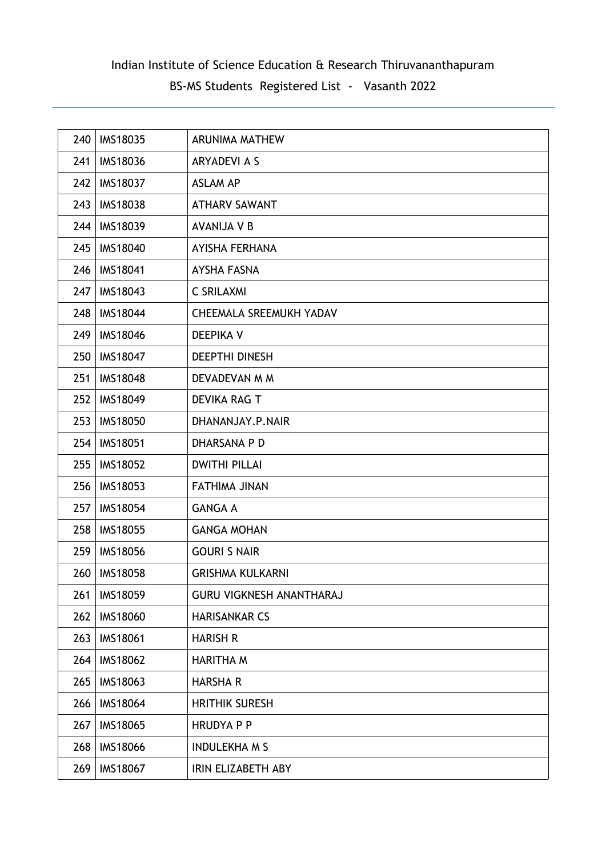| 240 | <b>IMS18035</b> | ARUNIMA MATHEW                  |
|-----|-----------------|---------------------------------|
| 241 | <b>IMS18036</b> | <b>ARYADEVI A S</b>             |
| 242 | <b>IMS18037</b> | <b>ASLAM AP</b>                 |
| 243 | <b>IMS18038</b> | <b>ATHARV SAWANT</b>            |
| 244 | <b>IMS18039</b> | <b>AVANIJA V B</b>              |
| 245 | <b>IMS18040</b> | AYISHA FERHANA                  |
| 246 | <b>IMS18041</b> | <b>AYSHA FASNA</b>              |
| 247 | <b>IMS18043</b> | <b>C SRILAXMI</b>               |
| 248 | <b>IMS18044</b> | CHEEMALA SREEMUKH YADAV         |
| 249 | <b>IMS18046</b> | <b>DEEPIKA V</b>                |
| 250 | <b>IMS18047</b> | <b>DEEPTHI DINESH</b>           |
| 251 | <b>IMS18048</b> | DEVADEVAN M M                   |
| 252 | <b>IMS18049</b> | DEVIKA RAG T                    |
| 253 | <b>IMS18050</b> | DHANANJAY.P.NAIR                |
| 254 | <b>IMS18051</b> | DHARSANA P D                    |
| 255 | <b>IMS18052</b> | <b>DWITHI PILLAI</b>            |
| 256 | <b>IMS18053</b> | <b>FATHIMA JINAN</b>            |
| 257 | <b>IMS18054</b> | <b>GANGA A</b>                  |
| 258 | <b>IMS18055</b> | <b>GANGA MOHAN</b>              |
| 259 | <b>IMS18056</b> | <b>GOURI S NAIR</b>             |
| 260 | <b>IMS18058</b> | <b>GRISHMA KULKARNI</b>         |
| 261 | <b>IMS18059</b> | <b>GURU VIGKNESH ANANTHARAJ</b> |
| 262 | <b>IMS18060</b> | <b>HARISANKAR CS</b>            |
| 263 | IMS18061        | <b>HARISH R</b>                 |
| 264 | <b>IMS18062</b> | <b>HARITHA M</b>                |
| 265 | IMS18063        | <b>HARSHA R</b>                 |
| 266 | <b>IMS18064</b> | <b>HRITHIK SURESH</b>           |
| 267 | <b>IMS18065</b> | <b>HRUDYAPP</b>                 |
| 268 | <b>IMS18066</b> | <b>INDULEKHA M S</b>            |
| 269 | IMS18067        | IRIN ELIZABETH ABY              |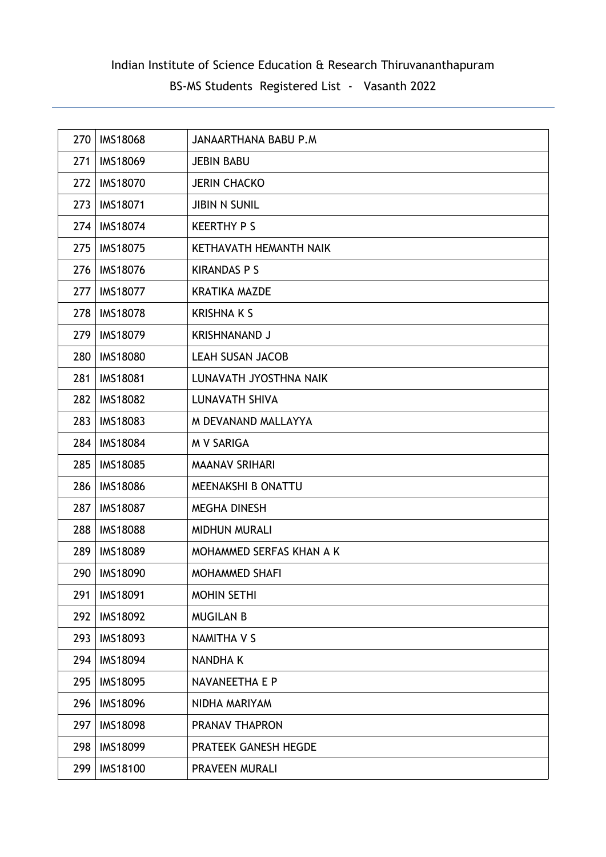| 270 | <b>IMS18068</b> | <b>JANAARTHANA BABU P.M</b> |
|-----|-----------------|-----------------------------|
| 271 | <b>IMS18069</b> | <b>JEBIN BABU</b>           |
| 272 | <b>IMS18070</b> | <b>JERIN CHACKO</b>         |
| 273 | <b>IMS18071</b> | <b>JIBIN N SUNIL</b>        |
| 274 | <b>IMS18074</b> | <b>KEERTHY P S</b>          |
| 275 | <b>IMS18075</b> | KETHAVATH HEMANTH NAIK      |
| 276 | <b>IMS18076</b> | <b>KIRANDAS P S</b>         |
| 277 | <b>IMS18077</b> | <b>KRATIKA MAZDE</b>        |
| 278 | <b>IMS18078</b> | <b>KRISHNA K S</b>          |
| 279 | <b>IMS18079</b> | <b>KRISHNANAND J</b>        |
| 280 | <b>IMS18080</b> | <b>LEAH SUSAN JACOB</b>     |
| 281 | <b>IMS18081</b> | LUNAVATH JYOSTHNA NAIK      |
| 282 | <b>IMS18082</b> | LUNAVATH SHIVA              |
| 283 | <b>IMS18083</b> | M DEVANAND MALLAYYA         |
| 284 | <b>IMS18084</b> | <b>M V SARIGA</b>           |
| 285 | <b>IMS18085</b> | <b>MAANAV SRIHARI</b>       |
| 286 | <b>IMS18086</b> | MEENAKSHI B ONATTU          |
| 287 | <b>IMS18087</b> | <b>MEGHA DINESH</b>         |
| 288 | <b>IMS18088</b> | MIDHUN MURALI               |
| 289 | <b>IMS18089</b> | MOHAMMED SERFAS KHAN A K    |
| 290 | <b>IMS18090</b> | <b>MOHAMMED SHAFI</b>       |
| 291 | <b>IMS18091</b> | <b>MOHIN SETHI</b>          |
| 292 | <b>IMS18092</b> | <b>MUGILAN B</b>            |
| 293 | <b>IMS18093</b> | <b>NAMITHA V S</b>          |
| 294 | <b>IMS18094</b> | <b>NANDHAK</b>              |
| 295 | <b>IMS18095</b> | NAVANEETHA E P              |
| 296 | <b>IMS18096</b> | NIDHA MARIYAM               |
| 297 | <b>IMS18098</b> | PRANAV THAPRON              |
| 298 | <b>IMS18099</b> | PRATEEK GANESH HEGDE        |
| 299 | IMS18100        | PRAVEEN MURALI              |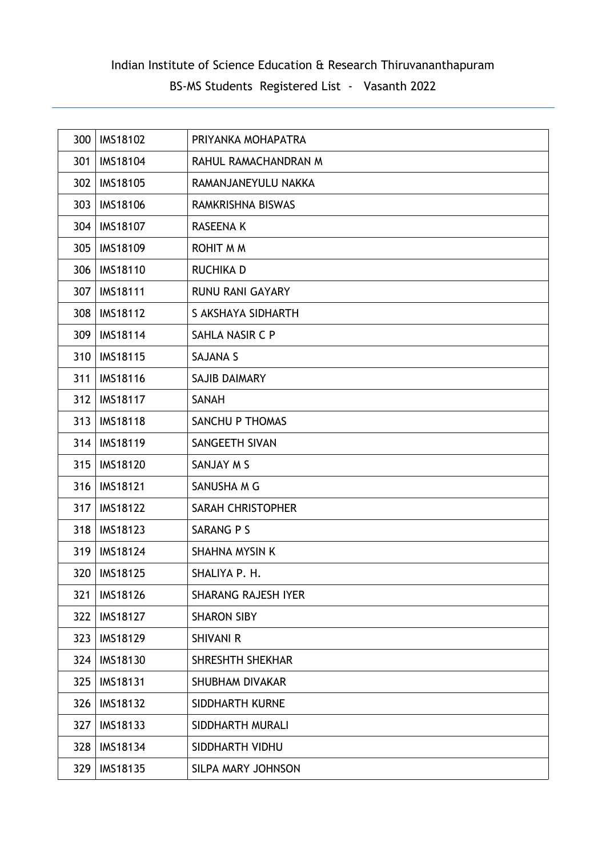| 300 | <b>IMS18102</b> | PRIYANKA MOHAPATRA         |
|-----|-----------------|----------------------------|
| 301 | <b>IMS18104</b> | RAHUL RAMACHANDRAN M       |
| 302 | <b>IMS18105</b> | RAMANJANEYULU NAKKA        |
| 303 | <b>IMS18106</b> | RAMKRISHNA BISWAS          |
| 304 | <b>IMS18107</b> | RASEENA K                  |
| 305 | <b>IMS18109</b> | <b>ROHIT M M</b>           |
| 306 | <b>IMS18110</b> | <b>RUCHIKA D</b>           |
| 307 | <b>IMS18111</b> | <b>RUNU RANI GAYARY</b>    |
| 308 | <b>IMS18112</b> | S AKSHAYA SIDHARTH         |
| 309 | <b>IMS18114</b> | SAHLA NASIR C P            |
| 310 | <b>IMS18115</b> | <b>SAJANA S</b>            |
| 311 | <b>IMS18116</b> | <b>SAJIB DAIMARY</b>       |
| 312 | <b>IMS18117</b> | SANAH                      |
| 313 | <b>IMS18118</b> | SANCHU P THOMAS            |
| 314 | <b>IMS18119</b> | SANGEETH SIVAN             |
| 315 | <b>IMS18120</b> | SANJAY M S                 |
| 316 | <b>IMS18121</b> | SANUSHA M G                |
| 317 | <b>IMS18122</b> | <b>SARAH CHRISTOPHER</b>   |
| 318 | <b>IMS18123</b> | SARANG P S                 |
| 319 | <b>IMS18124</b> | <b>SHAHNA MYSIN K</b>      |
| 320 | <b>IMS18125</b> | SHALIYA P. H.              |
| 321 | <b>IMS18126</b> | <b>SHARANG RAJESH IYER</b> |
| 322 | <b>IMS18127</b> | <b>SHARON SIBY</b>         |
| 323 | <b>IMS18129</b> | <b>SHIVANI R</b>           |
| 324 | IMS18130        | SHRESHTH SHEKHAR           |
| 325 | <b>IMS18131</b> | <b>SHUBHAM DIVAKAR</b>     |
| 326 | <b>IMS18132</b> | SIDDHARTH KURNE            |
| 327 | IMS18133        | SIDDHARTH MURALI           |
| 328 | <b>IMS18134</b> | SIDDHARTH VIDHU            |
| 329 | IMS18135        | SILPA MARY JOHNSON         |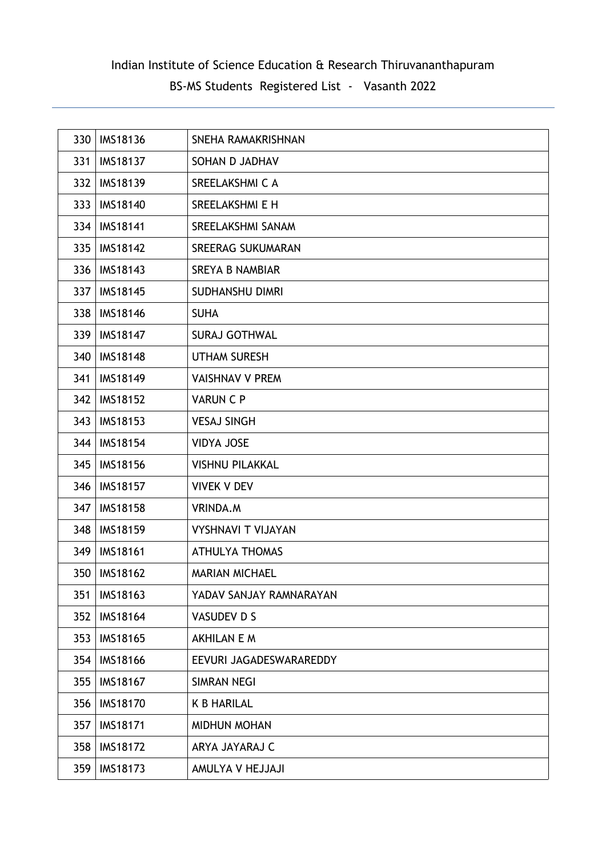| 330 | <b>IMS18136</b> | SNEHA RAMAKRISHNAN        |
|-----|-----------------|---------------------------|
| 331 | <b>IMS18137</b> | SOHAN D JADHAV            |
| 332 | <b>IMS18139</b> | SREELAKSHMI C A           |
| 333 | <b>IMS18140</b> | SREELAKSHMI E H           |
| 334 | <b>IMS18141</b> | SREELAKSHMI SANAM         |
| 335 | <b>IMS18142</b> | <b>SREERAG SUKUMARAN</b>  |
| 336 | <b>IMS18143</b> | <b>SREYA B NAMBIAR</b>    |
| 337 | <b>IMS18145</b> | <b>SUDHANSHU DIMRI</b>    |
| 338 | <b>IMS18146</b> | <b>SUHA</b>               |
| 339 | <b>IMS18147</b> | <b>SURAJ GOTHWAL</b>      |
| 340 | <b>IMS18148</b> | <b>UTHAM SURESH</b>       |
| 341 | <b>IMS18149</b> | <b>VAISHNAV V PREM</b>    |
| 342 | <b>IMS18152</b> | <b>VARUN C P</b>          |
| 343 | <b>IMS18153</b> | <b>VESAJ SINGH</b>        |
| 344 | <b>IMS18154</b> | <b>VIDYA JOSE</b>         |
| 345 | <b>IMS18156</b> | <b>VISHNU PILAKKAL</b>    |
| 346 | <b>IMS18157</b> | <b>VIVEK V DEV</b>        |
| 347 | <b>IMS18158</b> | VRINDA.M                  |
| 348 | <b>IMS18159</b> | <b>VYSHNAVI T VIJAYAN</b> |
| 349 | <b>IMS18161</b> | <b>ATHULYA THOMAS</b>     |
| 350 | <b>IMS18162</b> | <b>MARIAN MICHAEL</b>     |
| 351 | IMS18163        | YADAV SANJAY RAMNARAYAN   |
| 352 | <b>IMS18164</b> | VASUDEV D S               |
| 353 | <b>IMS18165</b> | <b>AKHILAN E M</b>        |
| 354 | <b>IMS18166</b> | EEVURI JAGADESWARAREDDY   |
| 355 | <b>IMS18167</b> | <b>SIMRAN NEGI</b>        |
| 356 | <b>IMS18170</b> | <b>K B HARILAL</b>        |
| 357 | <b>IMS18171</b> | MIDHUN MOHAN              |
| 358 | <b>IMS18172</b> | ARYA JAYARAJ C            |
| 359 | <b>IMS18173</b> | AMULYA V HEJJAJI          |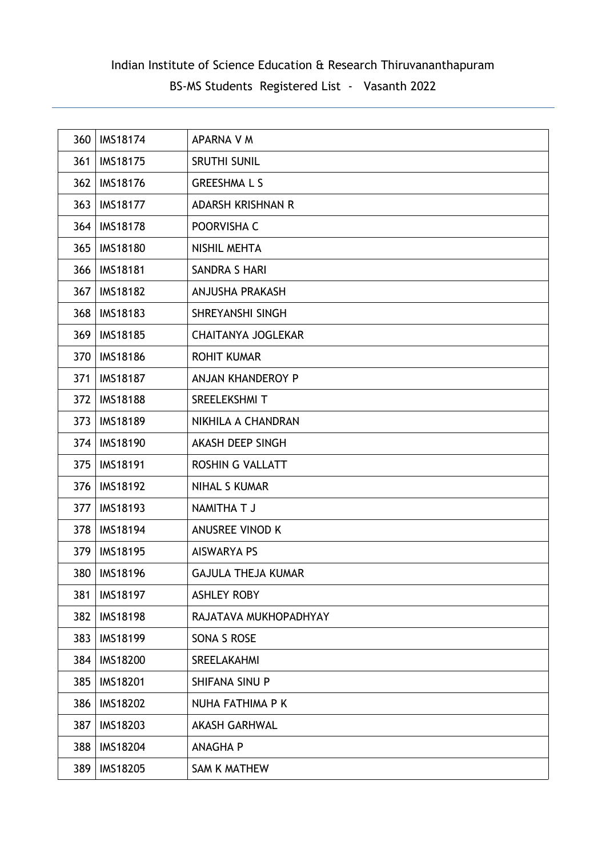| 360 | <b>IMS18174</b> | APARNA V M                |
|-----|-----------------|---------------------------|
| 361 | <b>IMS18175</b> | <b>SRUTHI SUNIL</b>       |
| 362 | <b>IMS18176</b> | <b>GREESHMALS</b>         |
| 363 | <b>IMS18177</b> | <b>ADARSH KRISHNAN R</b>  |
| 364 | <b>IMS18178</b> | POORVISHA C               |
| 365 | <b>IMS18180</b> | <b>NISHIL MEHTA</b>       |
| 366 | <b>IMS18181</b> | SANDRA S HARI             |
| 367 | <b>IMS18182</b> | ANJUSHA PRAKASH           |
| 368 | <b>IMS18183</b> | SHREYANSHI SINGH          |
| 369 | <b>IMS18185</b> | <b>CHAITANYA JOGLEKAR</b> |
| 370 | <b>IMS18186</b> | <b>ROHIT KUMAR</b>        |
| 371 | <b>IMS18187</b> | ANJAN KHANDEROY P         |
| 372 | <b>IMS18188</b> | SREELEKSHMI T             |
| 373 | <b>IMS18189</b> | NIKHILA A CHANDRAN        |
| 374 | <b>IMS18190</b> | AKASH DEEP SINGH          |
| 375 | <b>IMS18191</b> | <b>ROSHIN G VALLATT</b>   |
| 376 | <b>IMS18192</b> | <b>NIHAL S KUMAR</b>      |
| 377 | <b>IMS18193</b> | NAMITHA T J               |
| 378 | <b>IMS18194</b> | <b>ANUSREE VINOD K</b>    |
| 379 | <b>IMS18195</b> | <b>AISWARYA PS</b>        |
| 380 | <b>IMS18196</b> | <b>GAJULA THEJA KUMAR</b> |
| 381 | <b>IMS18197</b> | <b>ASHLEY ROBY</b>        |
| 382 | <b>IMS18198</b> | RAJATAVA MUKHOPADHYAY     |
| 383 | <b>IMS18199</b> | SONA S ROSE               |
| 384 | <b>IMS18200</b> | SREELAKAHMI               |
| 385 | <b>IMS18201</b> | SHIFANA SINU P            |
| 386 | <b>IMS18202</b> | NUHA FATHIMA P K          |
| 387 | <b>IMS18203</b> | <b>AKASH GARHWAL</b>      |
| 388 | <b>IMS18204</b> | <b>ANAGHA P</b>           |
| 389 | <b>IMS18205</b> | SAM K MATHEW              |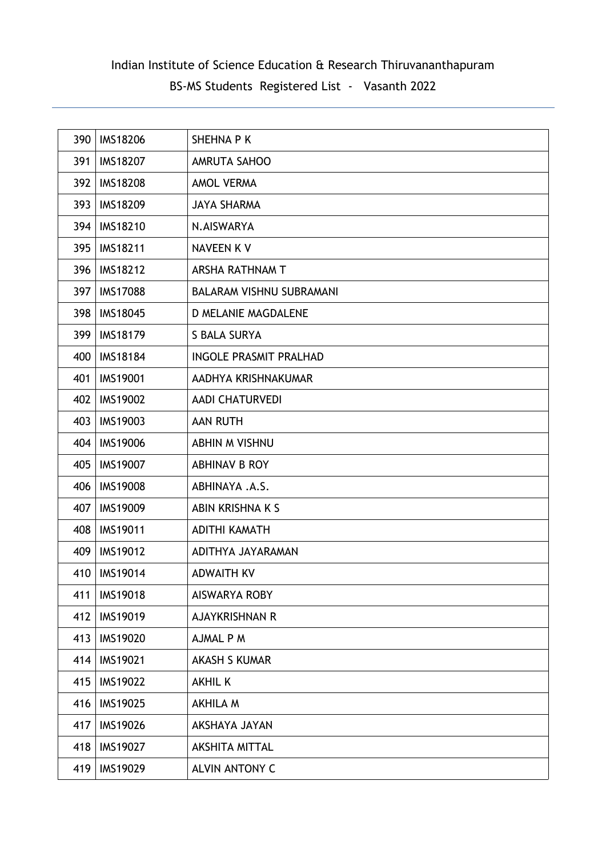| 390 | <b>IMS18206</b> | SHEHNA P K                      |
|-----|-----------------|---------------------------------|
| 391 | <b>IMS18207</b> | AMRUTA SAHOO                    |
| 392 | <b>IMS18208</b> | <b>AMOL VERMA</b>               |
| 393 | <b>IMS18209</b> | <b>JAYA SHARMA</b>              |
| 394 | <b>IMS18210</b> | N.AISWARYA                      |
| 395 | <b>IMS18211</b> | <b>NAVEEN KV</b>                |
| 396 | <b>IMS18212</b> | ARSHA RATHNAM T                 |
| 397 | <b>IMS17088</b> | <b>BALARAM VISHNU SUBRAMANI</b> |
| 398 | <b>IMS18045</b> | D MELANIE MAGDALENE             |
| 399 | <b>IMS18179</b> | <b>S BALA SURYA</b>             |
| 400 | <b>IMS18184</b> | <b>INGOLE PRASMIT PRALHAD</b>   |
| 401 | <b>IMS19001</b> | AADHYA KRISHNAKUMAR             |
| 402 | <b>IMS19002</b> | <b>AADI CHATURVEDI</b>          |
| 403 | <b>IMS19003</b> | <b>AAN RUTH</b>                 |
| 404 | <b>IMS19006</b> | <b>ABHIN M VISHNU</b>           |
| 405 | <b>IMS19007</b> | ABHINAV B ROY                   |
| 406 | <b>IMS19008</b> | ABHINAYA .A.S.                  |
| 407 | <b>IMS19009</b> | ABIN KRISHNA K S                |
| 408 | <b>IMS19011</b> | <b>ADITHI KAMATH</b>            |
| 409 | <b>IMS19012</b> | ADITHYA JAYARAMAN               |
| 410 | <b>IMS19014</b> | <b>ADWAITH KV</b>               |
| 411 | <b>IMS19018</b> | <b>AISWARYA ROBY</b>            |
| 412 | <b>IMS19019</b> | <b>AJAYKRISHNAN R</b>           |
| 413 | <b>IMS19020</b> | AJMAL P M                       |
| 414 | <b>IMS19021</b> | <b>AKASH S KUMAR</b>            |
| 415 | <b>IMS19022</b> | <b>AKHIL K</b>                  |
| 416 | <b>IMS19025</b> | <b>AKHILA M</b>                 |
| 417 | <b>IMS19026</b> | AKSHAYA JAYAN                   |
| 418 | <b>IMS19027</b> | <b>AKSHITA MITTAL</b>           |
| 419 | IMS19029        | <b>ALVIN ANTONY C</b>           |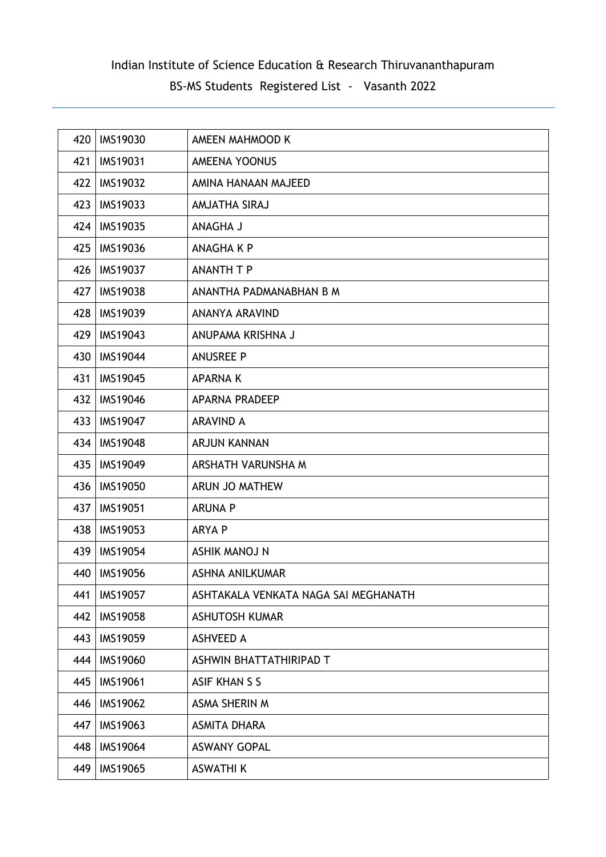| 420 | <b>IMS19030</b> | AMEEN MAHMOOD K                      |
|-----|-----------------|--------------------------------------|
| 421 | <b>IMS19031</b> | <b>AMEENA YOONUS</b>                 |
| 422 | <b>IMS19032</b> | AMINA HANAAN MAJEED                  |
| 423 | <b>IMS19033</b> | AMJATHA SIRAJ                        |
| 424 | <b>IMS19035</b> | ANAGHA J                             |
| 425 | <b>IMS19036</b> | <b>ANAGHA K P</b>                    |
| 426 | <b>IMS19037</b> | <b>ANANTH T P</b>                    |
| 427 | <b>IMS19038</b> | ANANTHA PADMANABHAN B M              |
| 428 | <b>IMS19039</b> | ANANYA ARAVIND                       |
| 429 | IMS19043        | ANUPAMA KRISHNA J                    |
| 430 | <b>IMS19044</b> | <b>ANUSREE P</b>                     |
| 431 | <b>IMS19045</b> | <b>APARNAK</b>                       |
| 432 | <b>IMS19046</b> | <b>APARNA PRADEEP</b>                |
| 433 | <b>IMS19047</b> | <b>ARAVIND A</b>                     |
| 434 | <b>IMS19048</b> | <b>ARJUN KANNAN</b>                  |
| 435 | <b>IMS19049</b> | ARSHATH VARUNSHA M                   |
| 436 | <b>IMS19050</b> | ARUN JO MATHEW                       |
| 437 | <b>IMS19051</b> | <b>ARUNA P</b>                       |
| 438 | <b>IMS19053</b> | <b>ARYA P</b>                        |
| 439 | <b>IMS19054</b> | <b>ASHIK MANOJ N</b>                 |
| 440 | <b>IMS19056</b> | ASHNA ANILKUMAR                      |
| 441 | <b>IMS19057</b> | ASHTAKALA VENKATA NAGA SAI MEGHANATH |
| 442 | <b>IMS19058</b> | <b>ASHUTOSH KUMAR</b>                |
| 443 | <b>IMS19059</b> | <b>ASHVEED A</b>                     |
| 444 | <b>IMS19060</b> | ASHWIN BHATTATHIRIPAD T              |
| 445 | <b>IMS19061</b> | <b>ASIF KHAN S S</b>                 |
| 446 | <b>IMS19062</b> | <b>ASMA SHERIN M</b>                 |
| 447 | IMS19063        | <b>ASMITA DHARA</b>                  |
| 448 | <b>IMS19064</b> | <b>ASWANY GOPAL</b>                  |
| 449 | IMS19065        | <b>ASWATHI K</b>                     |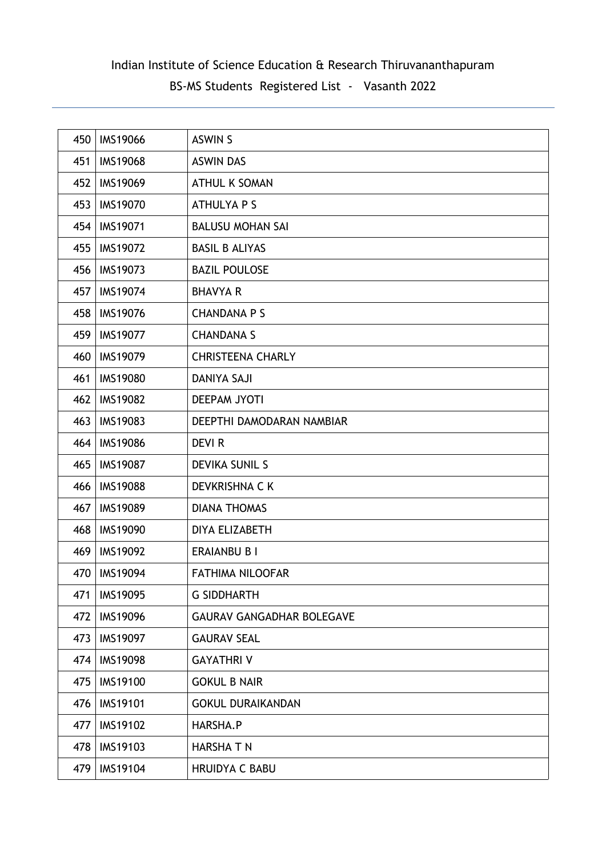| 450 | <b>IMS19066</b> | <b>ASWIN S</b>                   |
|-----|-----------------|----------------------------------|
| 451 | <b>IMS19068</b> | <b>ASWIN DAS</b>                 |
| 452 | <b>IMS19069</b> | <b>ATHUL K SOMAN</b>             |
| 453 | <b>IMS19070</b> | <b>ATHULYA P S</b>               |
| 454 | <b>IMS19071</b> | <b>BALUSU MOHAN SAI</b>          |
| 455 | <b>IMS19072</b> | <b>BASIL B ALIYAS</b>            |
| 456 | <b>IMS19073</b> | <b>BAZIL POULOSE</b>             |
| 457 | <b>IMS19074</b> | <b>BHAVYA R</b>                  |
| 458 | <b>IMS19076</b> | <b>CHANDANA P S</b>              |
| 459 | <b>IMS19077</b> | <b>CHANDANA S</b>                |
| 460 | <b>IMS19079</b> | <b>CHRISTEENA CHARLY</b>         |
| 461 | <b>IMS19080</b> | <b>DANIYA SAJI</b>               |
| 462 | <b>IMS19082</b> | <b>DEEPAM JYOTI</b>              |
| 463 | <b>IMS19083</b> | DEEPTHI DAMODARAN NAMBIAR        |
| 464 | <b>IMS19086</b> | <b>DEVIR</b>                     |
| 465 | <b>IMS19087</b> | <b>DEVIKA SUNIL S</b>            |
| 466 | <b>IMS19088</b> | DEVKRISHNA C K                   |
| 467 | <b>IMS19089</b> | <b>DIANA THOMAS</b>              |
| 468 | <b>IMS19090</b> | DIYA ELIZABETH                   |
| 469 | <b>IMS19092</b> | <b>ERAIANBU B I</b>              |
| 470 | <b>IMS19094</b> | <b>FATHIMA NILOOFAR</b>          |
| 471 | <b>IMS19095</b> | <b>G SIDDHARTH</b>               |
| 472 | <b>IMS19096</b> | <b>GAURAV GANGADHAR BOLEGAVE</b> |
| 473 | <b>IMS19097</b> | <b>GAURAV SEAL</b>               |
| 474 | <b>IMS19098</b> | <b>GAYATHRIV</b>                 |
| 475 | <b>IMS19100</b> | <b>GOKUL B NAIR</b>              |
| 476 | <b>IMS19101</b> | <b>GOKUL DURAIKANDAN</b>         |
| 477 | <b>IMS19102</b> | HARSHA.P                         |
| 478 | IMS19103        | <b>HARSHATN</b>                  |
| 479 | <b>IMS19104</b> | <b>HRUIDYA C BABU</b>            |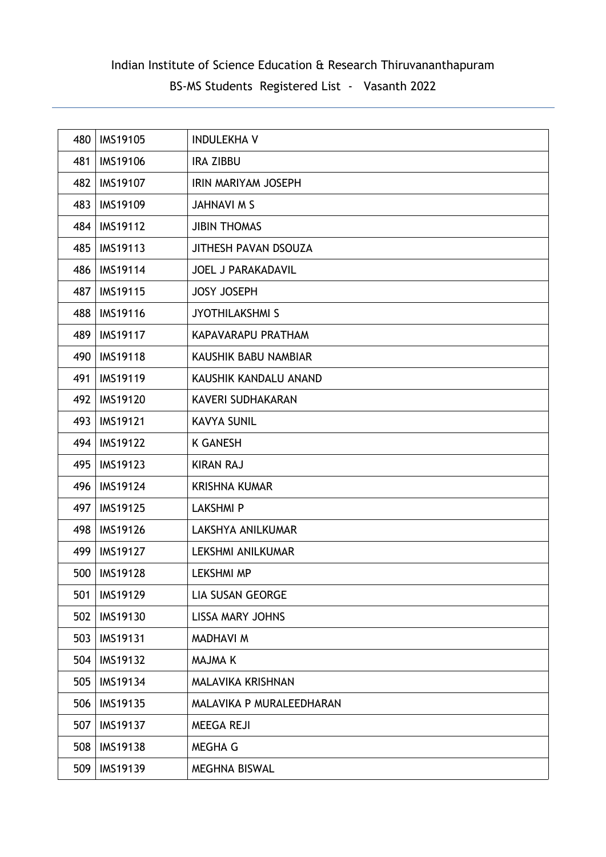| 480 | <b>IMS19105</b> | <b>INDULEKHA V</b>        |
|-----|-----------------|---------------------------|
| 481 | <b>IMS19106</b> | <b>IRA ZIBBU</b>          |
| 482 | <b>IMS19107</b> | IRIN MARIYAM JOSEPH       |
| 483 | <b>IMS19109</b> | JAHNAVI M S               |
| 484 | <b>IMS19112</b> | <b>JIBIN THOMAS</b>       |
| 485 | IMS19113        | JITHESH PAVAN DSOUZA      |
| 486 | <b>IMS19114</b> | <b>JOEL J PARAKADAVIL</b> |
| 487 | <b>IMS19115</b> | <b>JOSY JOSEPH</b>        |
| 488 | <b>IMS19116</b> | <b>JYOTHILAKSHMI S</b>    |
| 489 | <b>IMS19117</b> | KAPAVARAPU PRATHAM        |
| 490 | <b>IMS19118</b> | KAUSHIK BABU NAMBIAR      |
| 491 | <b>IMS19119</b> | KAUSHIK KANDALU ANAND     |
| 492 | <b>IMS19120</b> | KAVERI SUDHAKARAN         |
| 493 | <b>IMS19121</b> | <b>KAVYA SUNIL</b>        |
| 494 | <b>IMS19122</b> | <b>K GANESH</b>           |
| 495 | <b>IMS19123</b> | <b>KIRAN RAJ</b>          |
| 496 | <b>IMS19124</b> | <b>KRISHNA KUMAR</b>      |
| 497 | <b>IMS19125</b> | <b>LAKSHMIP</b>           |
| 498 | <b>IMS19126</b> | LAKSHYA ANILKUMAR         |
| 499 | <b>IMS19127</b> | LEKSHMI ANILKUMAR         |
| 500 | <b>IMS19128</b> | <b>LEKSHMI MP</b>         |
| 501 | <b>IMS19129</b> | <b>LIA SUSAN GEORGE</b>   |
| 502 | <b>IMS19130</b> | LISSA MARY JOHNS          |
| 503 | IMS19131        | <b>MADHAVI M</b>          |
| 504 | IMS19132        | <b>MAJMA K</b>            |
| 505 | <b>IMS19134</b> | MALAVIKA KRISHNAN         |
| 506 | IMS19135        | MALAVIKA P MURALEEDHARAN  |
| 507 | <b>IMS19137</b> | MEEGA REJI                |
| 508 | <b>IMS19138</b> | MEGHA G                   |
| 509 | <b>IMS19139</b> | MEGHNA BISWAL             |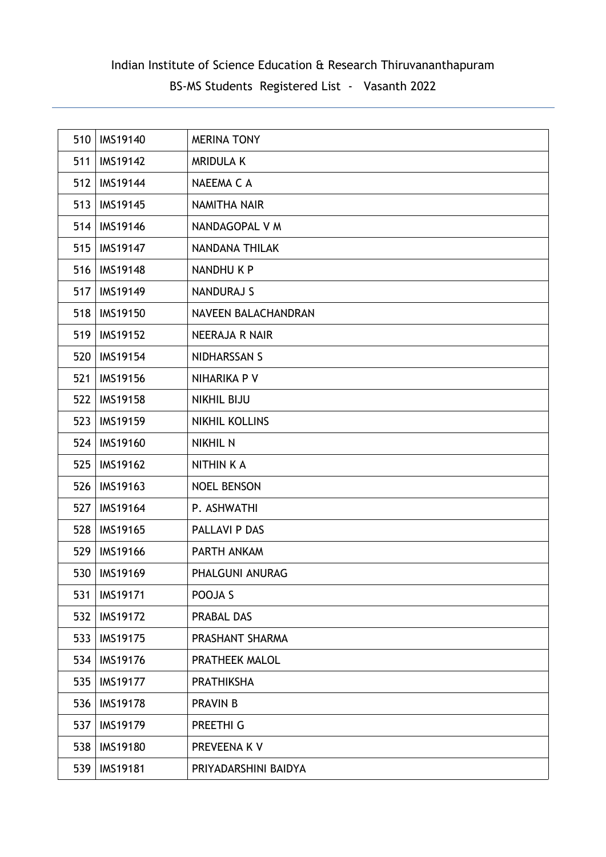| 510 | <b>IMS19140</b> | <b>MERINA TONY</b>    |
|-----|-----------------|-----------------------|
| 511 | <b>IMS19142</b> | <b>MRIDULA K</b>      |
| 512 | <b>IMS19144</b> | NAEEMA C A            |
| 513 | IMS19145        | <b>NAMITHA NAIR</b>   |
| 514 | <b>IMS19146</b> | NANDAGOPAL V M        |
| 515 | <b>IMS19147</b> | <b>NANDANA THILAK</b> |
| 516 | <b>IMS19148</b> | NANDHU K P            |
| 517 | <b>IMS19149</b> | <b>NANDURAJ S</b>     |
| 518 | <b>IMS19150</b> | NAVEEN BALACHANDRAN   |
| 519 | <b>IMS19152</b> | <b>NEERAJA R NAIR</b> |
| 520 | <b>IMS19154</b> | NIDHARSSAN S          |
| 521 | <b>IMS19156</b> | NIHARIKA P V          |
| 522 | <b>IMS19158</b> | <b>NIKHIL BIJU</b>    |
| 523 | <b>IMS19159</b> | NIKHIL KOLLINS        |
| 524 | IMS19160        | <b>NIKHIL N</b>       |
| 525 | IMS19162        | <b>NITHIN K A</b>     |
| 526 | IMS19163        | <b>NOEL BENSON</b>    |
| 527 | <b>IMS19164</b> | P. ASHWATHI           |
| 528 | IMS19165        | <b>PALLAVI P DAS</b>  |
| 529 | <b>IMS19166</b> | PARTH ANKAM           |
| 530 | IMS19169        | PHALGUNI ANURAG       |
| 531 | <b>IMS19171</b> | POOJA S               |
| 532 | <b>IMS19172</b> | PRABAL DAS            |
| 533 | <b>IMS19175</b> | PRASHANT SHARMA       |
| 534 | <b>IMS19176</b> | PRATHEEK MALOL        |
| 535 | <b>IMS19177</b> | <b>PRATHIKSHA</b>     |
| 536 | <b>IMS19178</b> | <b>PRAVIN B</b>       |
| 537 | <b>IMS19179</b> | PREETHI G             |
| 538 | <b>IMS19180</b> | PREVEENA K V          |
| 539 | <b>IMS19181</b> | PRIYADARSHINI BAIDYA  |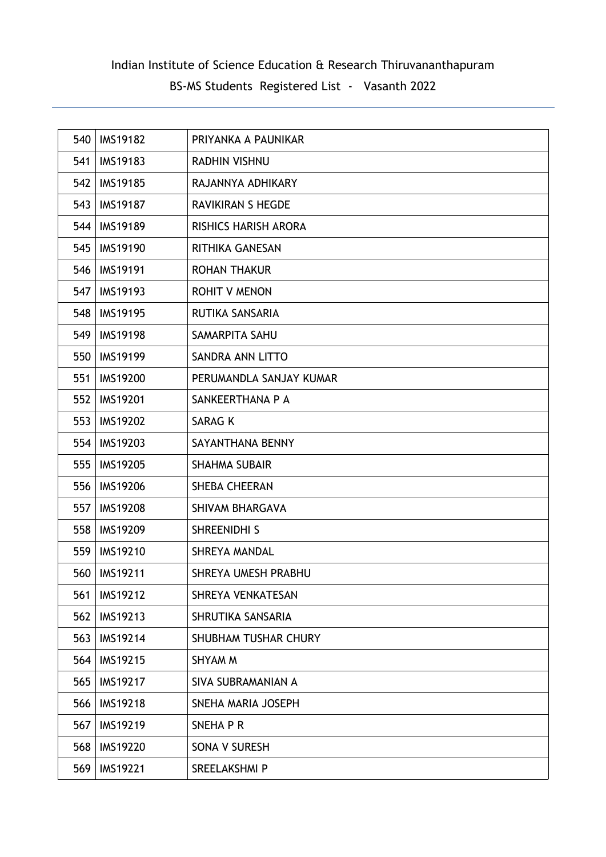| 540 | <b>IMS19182</b> | PRIYANKA A PAUNIKAR         |
|-----|-----------------|-----------------------------|
| 541 | <b>IMS19183</b> | <b>RADHIN VISHNU</b>        |
| 542 | <b>IMS19185</b> | RAJANNYA ADHIKARY           |
| 543 | <b>IMS19187</b> | <b>RAVIKIRAN S HEGDE</b>    |
| 544 | <b>IMS19189</b> | <b>RISHICS HARISH ARORA</b> |
| 545 | <b>IMS19190</b> | <b>RITHIKA GANESAN</b>      |
| 546 | <b>IMS19191</b> | <b>ROHAN THAKUR</b>         |
| 547 | <b>IMS19193</b> | <b>ROHIT V MENON</b>        |
| 548 | <b>IMS19195</b> | RUTIKA SANSARIA             |
| 549 | <b>IMS19198</b> | SAMARPITA SAHU              |
| 550 | <b>IMS19199</b> | SANDRA ANN LITTO            |
| 551 | <b>IMS19200</b> | PERUMANDLA SANJAY KUMAR     |
| 552 | <b>IMS19201</b> | SANKEERTHANA P A            |
| 553 | <b>IMS19202</b> | <b>SARAG K</b>              |
| 554 | <b>IMS19203</b> | SAYANTHANA BENNY            |
| 555 | <b>IMS19205</b> | <b>SHAHMA SUBAIR</b>        |
| 556 | <b>IMS19206</b> | <b>SHEBA CHEERAN</b>        |
| 557 | <b>IMS19208</b> | SHIVAM BHARGAVA             |
| 558 | <b>IMS19209</b> | SHREENIDHI S                |
| 559 | <b>IMS19210</b> | <b>SHREYA MANDAL</b>        |
| 560 | <b>IMS19211</b> | SHREYA UMESH PRABHU         |
| 561 | <b>IMS19212</b> | SHREYA VENKATESAN           |
| 562 | IMS19213        | SHRUTIKA SANSARIA           |
| 563 | <b>IMS19214</b> | <b>SHUBHAM TUSHAR CHURY</b> |
| 564 | IMS19215        | SHYAM M                     |
| 565 | IMS19217        | SIVA SUBRAMANIAN A          |
| 566 | <b>IMS19218</b> | SNEHA MARIA JOSEPH          |
| 567 | <b>IMS19219</b> | SNEHA P R                   |
| 568 | <b>IMS19220</b> | SONA V SURESH               |
| 569 | <b>IMS19221</b> | SREELAKSHMI P               |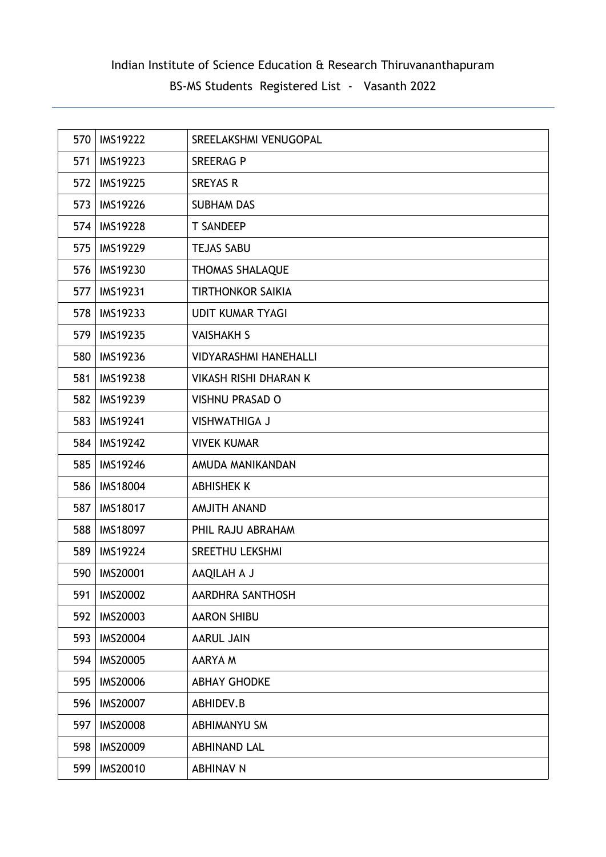| 570 | <b>IMS19222</b> | SREELAKSHMI VENUGOPAL        |
|-----|-----------------|------------------------------|
| 571 | <b>IMS19223</b> | <b>SREERAG P</b>             |
| 572 | <b>IMS19225</b> | <b>SREYAS R</b>              |
| 573 | <b>IMS19226</b> | <b>SUBHAM DAS</b>            |
| 574 | <b>IMS19228</b> | <b>T SANDEEP</b>             |
| 575 | <b>IMS19229</b> | <b>TEJAS SABU</b>            |
| 576 | IMS19230        | <b>THOMAS SHALAQUE</b>       |
| 577 | <b>IMS19231</b> | <b>TIRTHONKOR SAIKIA</b>     |
| 578 | IMS19233        | <b>UDIT KUMAR TYAGI</b>      |
| 579 | IMS19235        | <b>VAISHAKH S</b>            |
| 580 | <b>IMS19236</b> | <b>VIDYARASHMI HANEHALLI</b> |
| 581 | <b>IMS19238</b> | <b>VIKASH RISHI DHARAN K</b> |
| 582 | <b>IMS19239</b> | <b>VISHNU PRASAD O</b>       |
| 583 | <b>IMS19241</b> | <b>VISHWATHIGA J</b>         |
| 584 | <b>IMS19242</b> | <b>VIVEK KUMAR</b>           |
| 585 | <b>IMS19246</b> | AMUDA MANIKANDAN             |
| 586 | <b>IMS18004</b> | <b>ABHISHEK K</b>            |
| 587 | <b>IMS18017</b> | <b>AMJITH ANAND</b>          |
| 588 | <b>IMS18097</b> | PHIL RAJU ABRAHAM            |
| 589 | <b>IMS19224</b> | <b>SREETHU LEKSHMI</b>       |
| 590 | <b>IMS20001</b> | AAQILAH A J                  |
| 591 | <b>IMS20002</b> | AARDHRA SANTHOSH             |
| 592 | IMS20003        | <b>AARON SHIBU</b>           |
| 593 | <b>IMS20004</b> | <b>AARUL JAIN</b>            |
| 594 | <b>IMS20005</b> | AARYA M                      |
| 595 | <b>IMS20006</b> | <b>ABHAY GHODKE</b>          |
| 596 | <b>IMS20007</b> | ABHIDEV.B                    |
| 597 | <b>IMS20008</b> | ABHIMANYU SM                 |
| 598 | IMS20009        | <b>ABHINAND LAL</b>          |
| 599 | <b>IMS20010</b> | <b>ABHINAV N</b>             |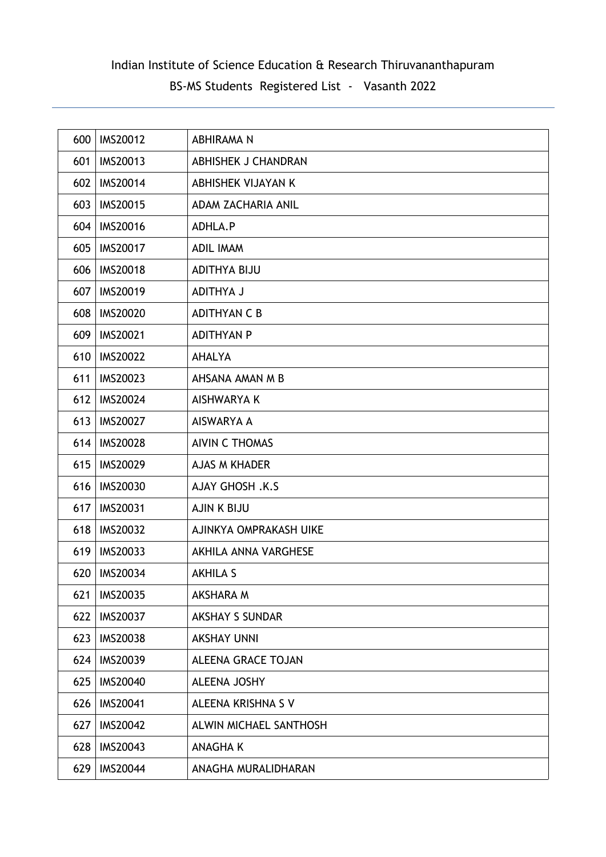| 600 | <b>IMS20012</b> | ABHIRAMA N                |
|-----|-----------------|---------------------------|
| 601 | IMS20013        | ABHISHEK J CHANDRAN       |
| 602 | <b>IMS20014</b> | ABHISHEK VIJAYAN K        |
| 603 | <b>IMS20015</b> | ADAM ZACHARIA ANIL        |
| 604 | <b>IMS20016</b> | ADHLA.P                   |
| 605 | <b>IMS20017</b> | <b>ADIL IMAM</b>          |
| 606 | <b>IMS20018</b> | <b>ADITHYA BIJU</b>       |
| 607 | <b>IMS20019</b> | <b>ADITHYA J</b>          |
| 608 | <b>IMS20020</b> | <b>ADITHYAN C B</b>       |
| 609 | <b>IMS20021</b> | <b>ADITHYAN P</b>         |
| 610 | <b>IMS20022</b> | <b>AHALYA</b>             |
| 611 | <b>IMS20023</b> | AHSANA AMAN M B           |
| 612 | <b>IMS20024</b> | AISHWARYA K               |
| 613 | <b>IMS20027</b> | AISWARYA A                |
| 614 | <b>IMS20028</b> | <b>AIVIN C THOMAS</b>     |
| 615 | <b>IMS20029</b> | <b>AJAS M KHADER</b>      |
| 616 | <b>IMS20030</b> | <b>AJAY GHOSH .K.S</b>    |
| 617 | <b>IMS20031</b> | <b>AJIN K BIJU</b>        |
| 618 | <b>IMS20032</b> | AJINKYA OMPRAKASH UIKE    |
| 619 | <b>IMS20033</b> | AKHILA ANNA VARGHESE      |
| 620 | <b>IMS20034</b> | <b>AKHILA S</b>           |
| 621 | <b>IMS20035</b> | AKSHARA M                 |
| 622 | <b>IMS20037</b> | <b>AKSHAY S SUNDAR</b>    |
| 623 | <b>IMS20038</b> | <b>AKSHAY UNNI</b>        |
| 624 | IMS20039        | <b>ALEENA GRACE TOJAN</b> |
| 625 | <b>IMS20040</b> | <b>ALEENA JOSHY</b>       |
| 626 | <b>IMS20041</b> | ALEENA KRISHNA S V        |
| 627 | <b>IMS20042</b> | ALWIN MICHAEL SANTHOSH    |
| 628 | <b>IMS20043</b> | <b>ANAGHAK</b>            |
| 629 | <b>IMS20044</b> | ANAGHA MURALIDHARAN       |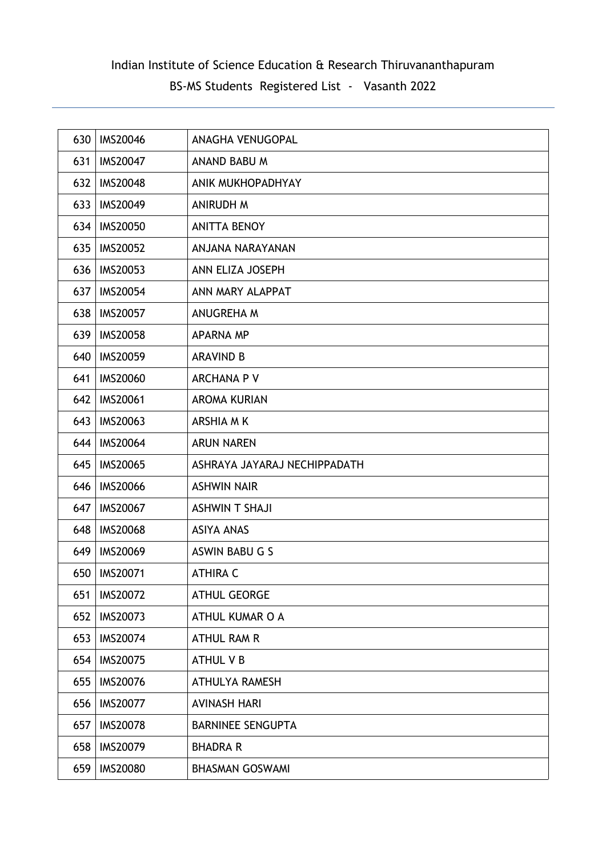| 630 | <b>IMS20046</b> | ANAGHA VENUGOPAL             |
|-----|-----------------|------------------------------|
| 631 | <b>IMS20047</b> | ANAND BABU M                 |
| 632 | <b>IMS20048</b> | ANIK MUKHOPADHYAY            |
| 633 | <b>IMS20049</b> | <b>ANIRUDH M</b>             |
| 634 | <b>IMS20050</b> | <b>ANITTA BENOY</b>          |
| 635 | <b>IMS20052</b> | ANJANA NARAYANAN             |
| 636 | IMS20053        | ANN ELIZA JOSEPH             |
| 637 | <b>IMS20054</b> | ANN MARY ALAPPAT             |
| 638 | <b>IMS20057</b> | ANUGREHA M                   |
| 639 | <b>IMS20058</b> | <b>APARNA MP</b>             |
| 640 | <b>IMS20059</b> | <b>ARAVIND B</b>             |
| 641 | <b>IMS20060</b> | <b>ARCHANA P V</b>           |
| 642 | <b>IMS20061</b> | <b>AROMA KURIAN</b>          |
| 643 | <b>IMS20063</b> | <b>ARSHIA MK</b>             |
| 644 | <b>IMS20064</b> | <b>ARUN NAREN</b>            |
| 645 | <b>IMS20065</b> | ASHRAYA JAYARAJ NECHIPPADATH |
| 646 | <b>IMS20066</b> | <b>ASHWIN NAIR</b>           |
| 647 | <b>IMS20067</b> | <b>ASHWIN T SHAJI</b>        |
| 648 | <b>IMS20068</b> | <b>ASIYA ANAS</b>            |
| 649 | <b>IMS20069</b> | ASWIN BABU G S               |
| 650 | <b>IMS20071</b> | <b>ATHIRA C</b>              |
| 651 | <b>IMS20072</b> | <b>ATHUL GEORGE</b>          |
| 652 | <b>IMS20073</b> | ATHUL KUMAR O A              |
| 653 | <b>IMS20074</b> | ATHUL RAM R                  |
| 654 | <b>IMS20075</b> | <b>ATHUL V B</b>             |
| 655 | <b>IMS20076</b> | <b>ATHULYA RAMESH</b>        |
| 656 | <b>IMS20077</b> | <b>AVINASH HARI</b>          |
| 657 | <b>IMS20078</b> | <b>BARNINEE SENGUPTA</b>     |
| 658 | IMS20079        | <b>BHADRA R</b>              |
| 659 | <b>IMS20080</b> | <b>BHASMAN GOSWAMI</b>       |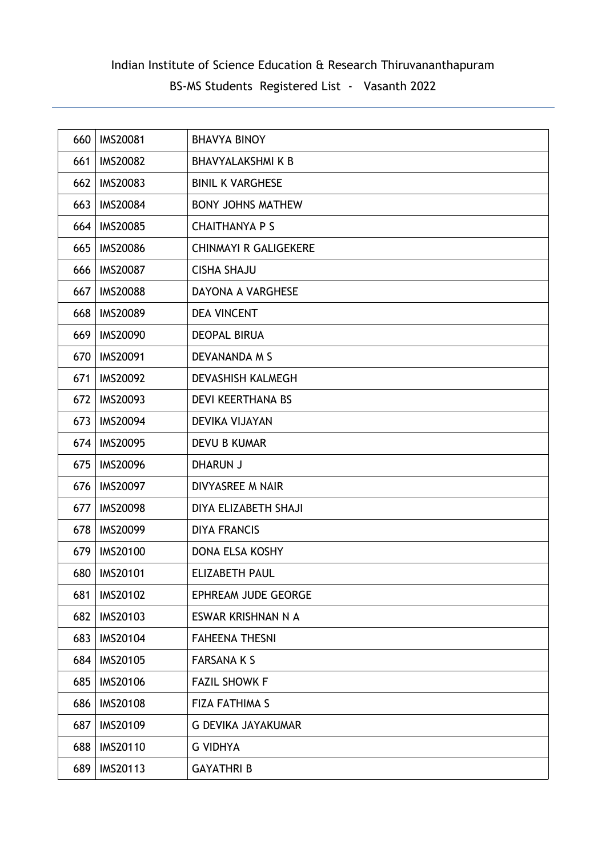| 660 | IMS20081        | <b>BHAVYA BINOY</b>          |
|-----|-----------------|------------------------------|
| 661 | <b>IMS20082</b> | <b>BHAVYALAKSHMI K B</b>     |
| 662 | <b>IMS20083</b> | <b>BINIL K VARGHESE</b>      |
| 663 | <b>IMS20084</b> | <b>BONY JOHNS MATHEW</b>     |
| 664 | <b>IMS20085</b> | <b>CHAITHANYA P S</b>        |
| 665 | <b>IMS20086</b> | <b>CHINMAYI R GALIGEKERE</b> |
| 666 | <b>IMS20087</b> | <b>CISHA SHAJU</b>           |
| 667 | <b>IMS20088</b> | DAYONA A VARGHESE            |
| 668 | <b>IMS20089</b> | <b>DEA VINCENT</b>           |
| 669 | <b>IMS20090</b> | <b>DEOPAL BIRUA</b>          |
| 670 | <b>IMS20091</b> | <b>DEVANANDA M S</b>         |
| 671 | <b>IMS20092</b> | DEVASHISH KALMEGH            |
| 672 | <b>IMS20093</b> | <b>DEVI KEERTHANA BS</b>     |
| 673 | <b>IMS20094</b> | <b>DEVIKA VIJAYAN</b>        |
| 674 | <b>IMS20095</b> | <b>DEVU B KUMAR</b>          |
| 675 | <b>IMS20096</b> | <b>DHARUN J</b>              |
| 676 | <b>IMS20097</b> | DIVYASREE M NAIR             |
| 677 | <b>IMS20098</b> | DIYA ELIZABETH SHAJI         |
| 678 | <b>IMS20099</b> | <b>DIYA FRANCIS</b>          |
| 679 | <b>IMS20100</b> | <b>DONA ELSA KOSHY</b>       |
| 680 | <b>IMS20101</b> | <b>ELIZABETH PAUL</b>        |
| 681 | <b>IMS20102</b> | EPHREAM JUDE GEORGE          |
| 682 | <b>IMS20103</b> | ESWAR KRISHNAN N A           |
| 683 | <b>IMS20104</b> | <b>FAHEENA THESNI</b>        |
| 684 | IMS20105        | <b>FARSANA K S</b>           |
| 685 | <b>IMS20106</b> | <b>FAZIL SHOWK F</b>         |
| 686 | <b>IMS20108</b> | <b>FIZA FATHIMA S</b>        |
| 687 | <b>IMS20109</b> | <b>G DEVIKA JAYAKUMAR</b>    |
| 688 | <b>IMS20110</b> | <b>G VIDHYA</b>              |
| 689 | IMS20113        | <b>GAYATHRI B</b>            |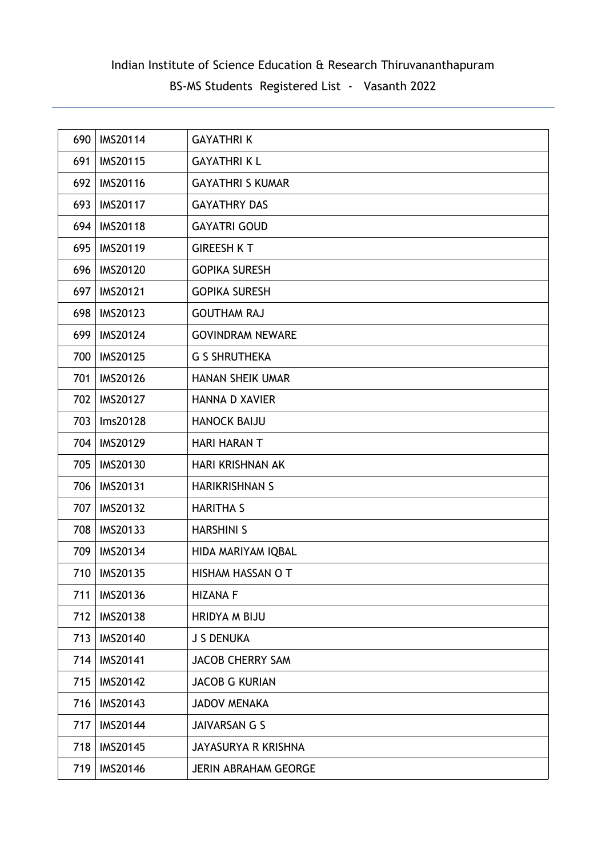| 690 | <b>IMS20114</b> | <b>GAYATHRIK</b>            |
|-----|-----------------|-----------------------------|
| 691 | <b>IMS20115</b> | <b>GAYATHRI KL</b>          |
| 692 | <b>IMS20116</b> | <b>GAYATHRI S KUMAR</b>     |
| 693 | <b>IMS20117</b> | <b>GAYATHRY DAS</b>         |
| 694 | <b>IMS20118</b> | <b>GAYATRI GOUD</b>         |
| 695 | <b>IMS20119</b> | <b>GIREESH K T</b>          |
| 696 | <b>IMS20120</b> | <b>GOPIKA SURESH</b>        |
| 697 | <b>IMS20121</b> | <b>GOPIKA SURESH</b>        |
| 698 | <b>IMS20123</b> | <b>GOUTHAM RAJ</b>          |
| 699 | <b>IMS20124</b> | <b>GOVINDRAM NEWARE</b>     |
| 700 | <b>IMS20125</b> | <b>G S SHRUTHEKA</b>        |
| 701 | <b>IMS20126</b> | <b>HANAN SHEIK UMAR</b>     |
| 702 | <b>IMS20127</b> | <b>HANNA D XAVIER</b>       |
| 703 | Ims20128        | <b>HANOCK BAIJU</b>         |
| 704 | <b>IMS20129</b> | <b>HARI HARAN T</b>         |
| 705 | <b>IMS20130</b> | HARI KRISHNAN AK            |
| 706 | <b>IMS20131</b> | <b>HARIKRISHNAN S</b>       |
| 707 | <b>IMS20132</b> | <b>HARITHA S</b>            |
| 708 | <b>IMS20133</b> | <b>HARSHINI S</b>           |
| 709 | <b>IMS20134</b> | HIDA MARIYAM IQBAL          |
| 710 | <b>IMS20135</b> | HISHAM HASSAN O T           |
| 711 | IMS20136        | <b>HIZANA F</b>             |
| 712 | <b>IMS20138</b> | <b>HRIDYA M BIJU</b>        |
| 713 | <b>IMS20140</b> | <b>J S DENUKA</b>           |
| 714 | <b>IMS20141</b> | <b>JACOB CHERRY SAM</b>     |
| 715 | <b>IMS20142</b> | <b>JACOB G KURIAN</b>       |
| 716 | IMS20143        | <b>JADOV MENAKA</b>         |
| 717 | <b>IMS20144</b> | JAIVARSAN G S               |
| 718 | <b>IMS20145</b> | <b>JAYASURYA R KRISHNA</b>  |
| 719 | <b>IMS20146</b> | <b>JERIN ABRAHAM GEORGE</b> |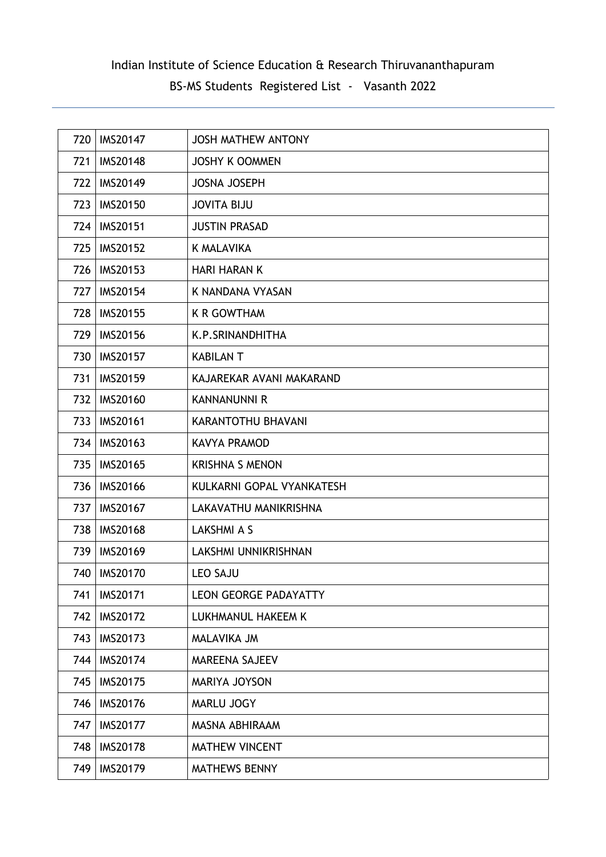| 720 | <b>IMS20147</b> | <b>JOSH MATHEW ANTONY</b>    |
|-----|-----------------|------------------------------|
| 721 | <b>IMS20148</b> | <b>JOSHY K OOMMEN</b>        |
| 722 | <b>IMS20149</b> | <b>JOSNA JOSEPH</b>          |
| 723 | <b>IMS20150</b> | <b>JOVITA BIJU</b>           |
| 724 | <b>IMS20151</b> | <b>JUSTIN PRASAD</b>         |
| 725 | <b>IMS20152</b> | <b>K MALAVIKA</b>            |
| 726 | <b>IMS20153</b> | <b>HARI HARAN K</b>          |
| 727 | <b>IMS20154</b> | K NANDANA VYASAN             |
| 728 | <b>IMS20155</b> | <b>K R GOWTHAM</b>           |
| 729 | <b>IMS20156</b> | K.P.SRINANDHITHA             |
| 730 | <b>IMS20157</b> | <b>KABILAN T</b>             |
| 731 | <b>IMS20159</b> | KAJAREKAR AVANI MAKARAND     |
| 732 | <b>IMS20160</b> | <b>KANNANUNNI R</b>          |
| 733 | <b>IMS20161</b> | KARANTOTHU BHAVANI           |
| 734 | IMS20163        | <b>KAVYA PRAMOD</b>          |
| 735 | <b>IMS20165</b> | <b>KRISHNA S MENON</b>       |
| 736 | <b>IMS20166</b> | KULKARNI GOPAL VYANKATESH    |
| 737 | <b>IMS20167</b> | LAKAVATHU MANIKRISHNA        |
| 738 | <b>IMS20168</b> | LAKSHMI A S                  |
| 739 | <b>IMS20169</b> | LAKSHMI UNNIKRISHNAN         |
| 740 | <b>IMS20170</b> | <b>LEO SAJU</b>              |
| 741 | <b>IMS20171</b> | <b>LEON GEORGE PADAYATTY</b> |
| 742 | <b>IMS20172</b> | LUKHMANUL HAKEEM K           |
| 743 | <b>IMS20173</b> | MALAVIKA JM                  |
| 744 | <b>IMS20174</b> | <b>MAREENA SAJEEV</b>        |
| 745 | <b>IMS20175</b> | MARIYA JOYSON                |
| 746 | <b>IMS20176</b> | MARLU JOGY                   |
| 747 | <b>IMS20177</b> | MASNA ABHIRAAM               |
| 748 | <b>IMS20178</b> | <b>MATHEW VINCENT</b>        |
| 749 | <b>IMS20179</b> | <b>MATHEWS BENNY</b>         |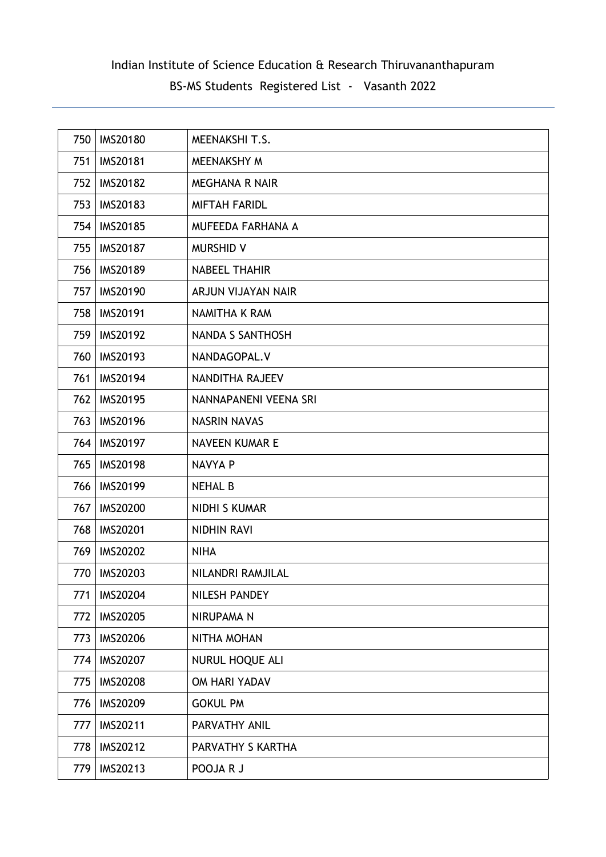| 750 | <b>IMS20180</b> | MEENAKSHI T.S.        |
|-----|-----------------|-----------------------|
| 751 | <b>IMS20181</b> | MEENAKSHY M           |
| 752 | <b>IMS20182</b> | <b>MEGHANA R NAIR</b> |
| 753 | <b>IMS20183</b> | <b>MIFTAH FARIDL</b>  |
| 754 | <b>IMS20185</b> | MUFEEDA FARHANA A     |
| 755 | <b>IMS20187</b> | <b>MURSHID V</b>      |
| 756 | <b>IMS20189</b> | <b>NABEEL THAHIR</b>  |
| 757 | <b>IMS20190</b> | ARJUN VIJAYAN NAIR    |
| 758 | <b>IMS20191</b> | <b>NAMITHA K RAM</b>  |
| 759 | <b>IMS20192</b> | NANDA S SANTHOSH      |
| 760 | IMS20193        | NANDAGOPAL.V          |
| 761 | <b>IMS20194</b> | NANDITHA RAJEEV       |
| 762 | <b>IMS20195</b> | NANNAPANENI VEENA SRI |
| 763 | <b>IMS20196</b> | <b>NASRIN NAVAS</b>   |
| 764 | <b>IMS20197</b> | <b>NAVEEN KUMAR E</b> |
| 765 | <b>IMS20198</b> | NAVYA P               |
| 766 | <b>IMS20199</b> | <b>NEHAL B</b>        |
| 767 | <b>IMS20200</b> | <b>NIDHI S KUMAR</b>  |
| 768 | <b>IMS20201</b> | <b>NIDHIN RAVI</b>    |
| 769 | <b>IMS20202</b> | <b>NIHA</b>           |
| 770 | IMS20203        | NILANDRI RAMJILAL     |
| 771 | <b>IMS20204</b> | <b>NILESH PANDEY</b>  |
| 772 | <b>IMS20205</b> | NIRUPAMA N            |
| 773 | <b>IMS20206</b> | NITHA MOHAN           |
| 774 | <b>IMS20207</b> | NURUL HOQUE ALI       |
| 775 | <b>IMS20208</b> | OM HARI YADAV         |
| 776 | <b>IMS20209</b> | <b>GOKUL PM</b>       |
| 777 | IMS20211        | PARVATHY ANIL         |
| 778 | IMS20212        | PARVATHY S KARTHA     |
| 779 | IMS20213        | POOJA R J             |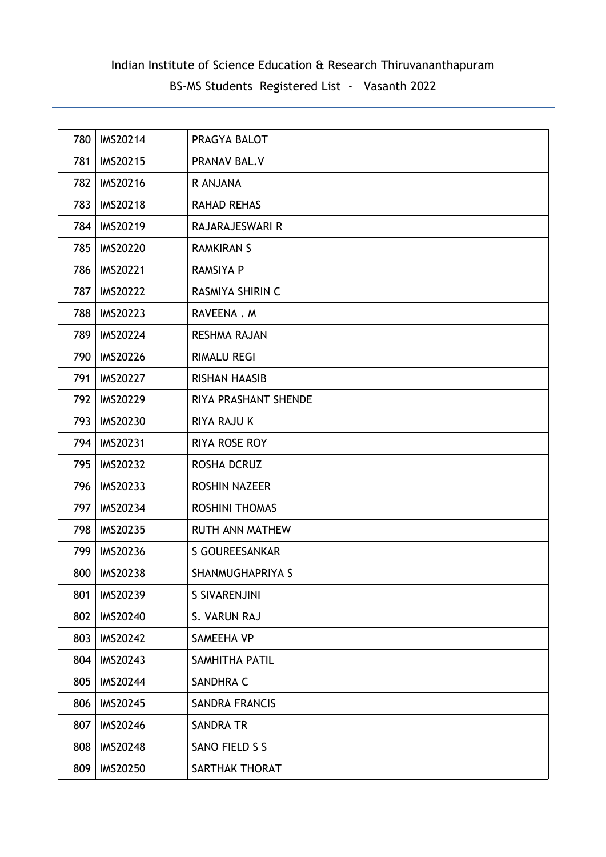| 780 | IMS20214        | PRAGYA BALOT           |
|-----|-----------------|------------------------|
| 781 | IMS20215        | PRANAV BAL.V           |
| 782 | <b>IMS20216</b> | R ANJANA               |
| 783 | <b>IMS20218</b> | <b>RAHAD REHAS</b>     |
| 784 | IMS20219        | RAJARAJESWARI R        |
| 785 | <b>IMS20220</b> | <b>RAMKIRAN S</b>      |
| 786 | <b>IMS20221</b> | <b>RAMSIYA P</b>       |
| 787 | <b>IMS20222</b> | RASMIYA SHIRIN C       |
| 788 | <b>IMS20223</b> | RAVEENA.M              |
| 789 | <b>IMS20224</b> | <b>RESHMA RAJAN</b>    |
| 790 | <b>IMS20226</b> | <b>RIMALU REGI</b>     |
| 791 | <b>IMS20227</b> | <b>RISHAN HAASIB</b>   |
| 792 | <b>IMS20229</b> | RIYA PRASHANT SHENDE   |
| 793 | <b>IMS20230</b> | <b>RIYA RAJU K</b>     |
| 794 | <b>IMS20231</b> | <b>RIYA ROSE ROY</b>   |
| 795 | <b>IMS20232</b> | ROSHA DCRUZ            |
| 796 | IMS20233        | <b>ROSHIN NAZEER</b>   |
| 797 | IMS20234        | <b>ROSHINI THOMAS</b>  |
| 798 | IMS20235        | <b>RUTH ANN MATHEW</b> |
| 799 | <b>IMS20236</b> | S GOUREESANKAR         |
| 800 | <b>IMS20238</b> | SHANMUGHAPRIYA S       |
| 801 | IMS20239        | <b>S SIVARENJINI</b>   |
| 802 | <b>IMS20240</b> | S. VARUN RAJ           |
| 803 | <b>IMS20242</b> | SAMEEHA VP             |
| 804 | IMS20243        | SAMHITHA PATIL         |
| 805 | <b>IMS20244</b> | SANDHRA C              |
| 806 | <b>IMS20245</b> | <b>SANDRA FRANCIS</b>  |
| 807 | <b>IMS20246</b> | <b>SANDRA TR</b>       |
| 808 | <b>IMS20248</b> | SANO FIELD S S         |
| 809 | IMS20250        | SARTHAK THORAT         |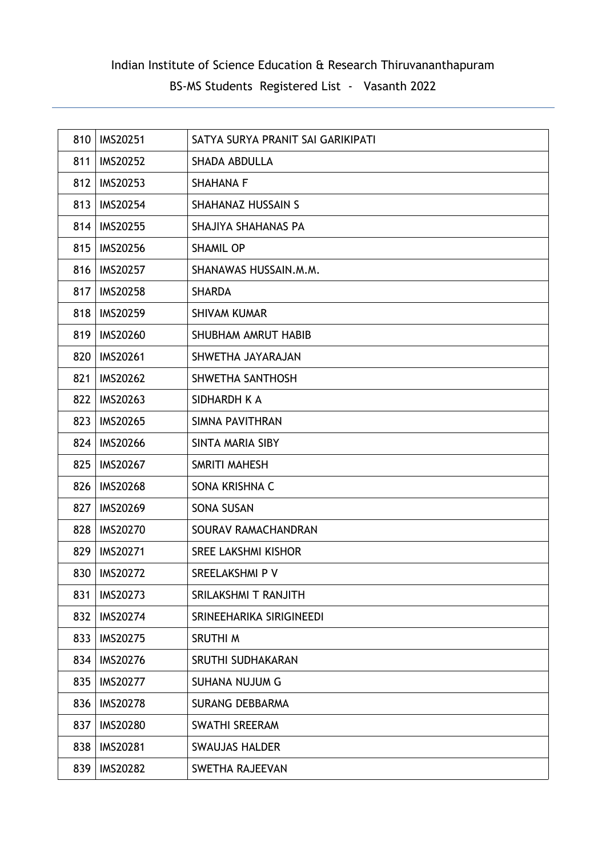| 810 | IMS20251        | SATYA SURYA PRANIT SAI GARIKIPATI |
|-----|-----------------|-----------------------------------|
| 811 | <b>IMS20252</b> | <b>SHADA ABDULLA</b>              |
| 812 | <b>IMS20253</b> | <b>SHAHANA F</b>                  |
| 813 | <b>IMS20254</b> | <b>SHAHANAZ HUSSAIN S</b>         |
| 814 | <b>IMS20255</b> | SHAJIYA SHAHANAS PA               |
| 815 | <b>IMS20256</b> | <b>SHAMIL OP</b>                  |
| 816 | <b>IMS20257</b> | SHANAWAS HUSSAIN.M.M.             |
| 817 | <b>IMS20258</b> | <b>SHARDA</b>                     |
| 818 | <b>IMS20259</b> | <b>SHIVAM KUMAR</b>               |
| 819 | <b>IMS20260</b> | SHUBHAM AMRUT HABIB               |
| 820 | <b>IMS20261</b> | SHWETHA JAYARAJAN                 |
| 821 | <b>IMS20262</b> | SHWETHA SANTHOSH                  |
| 822 | IMS20263        | SIDHARDH K A                      |
| 823 | <b>IMS20265</b> | SIMNA PAVITHRAN                   |
| 824 | <b>IMS20266</b> | SINTA MARIA SIBY                  |
| 825 | <b>IMS20267</b> | SMRITI MAHESH                     |
| 826 | <b>IMS20268</b> | SONA KRISHNA C                    |
| 827 | <b>IMS20269</b> | <b>SONA SUSAN</b>                 |
| 828 | <b>IMS20270</b> | SOURAV RAMACHANDRAN               |
| 829 | <b>IMS20271</b> | <b>SREE LAKSHMI KISHOR</b>        |
| 830 | <b>IMS20272</b> | SREELAKSHMI P V                   |
| 831 | <b>IMS20273</b> | SRILAKSHMI T RANJITH              |
| 832 | <b>IMS20274</b> | SRINEEHARIKA SIRIGINEEDI          |
| 833 | <b>IMS20275</b> | SRUTHI M                          |
| 834 | <b>IMS20276</b> | SRUTHI SUDHAKARAN                 |
| 835 | <b>IMS20277</b> | <b>SUHANA NUJUM G</b>             |
| 836 | <b>IMS20278</b> | <b>SURANG DEBBARMA</b>            |
| 837 | <b>IMS20280</b> | <b>SWATHI SREERAM</b>             |
| 838 | <b>IMS20281</b> | <b>SWAUJAS HALDER</b>             |
| 839 | <b>IMS20282</b> | <b>SWETHA RAJEEVAN</b>            |